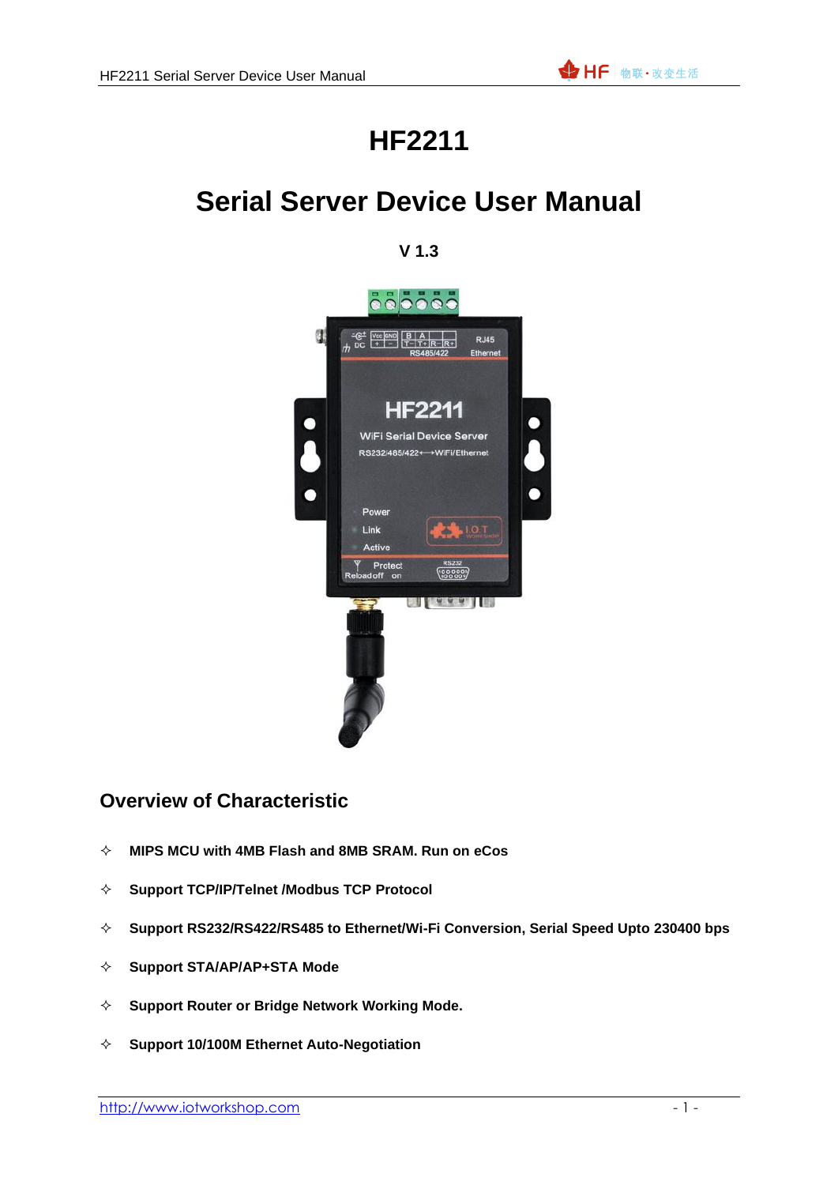## **HF2211**

## **Serial Server Device User Manual**

### **V 1.3**



## **Overview of Characteristic**

- **MIPS MCU with 4MB Flash and 8MB SRAM. Run on eCos**
- **Support TCP/IP/Telnet /Modbus TCP Protocol**
- **Support RS232/RS422/RS485 to Ethernet/Wi-Fi Conversion, Serial Speed Upto 230400 bps**
- **Support STA/AP/AP+STA Mode**
- **Support Router or Bridge Network Working Mode.**
- **Support 10/100M Ethernet Auto-Negotiation**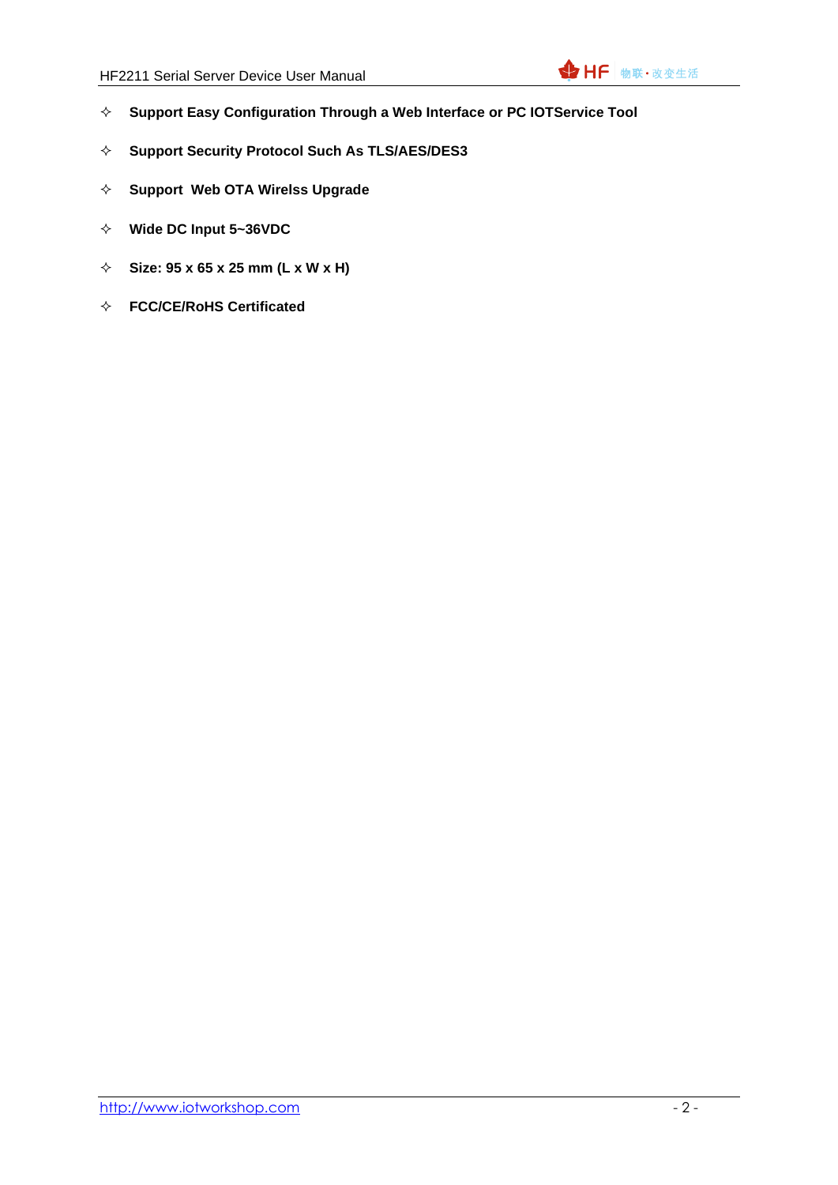- **Support Easy Configuration Through a Web Interface or PC IOTService Tool**
- **Support Security Protocol Such As TLS/AES/DES3**
- **Support Web OTA Wirelss Upgrade**
- **Wide DC Input 5~36VDC**
- **Size: 95 x 65 x 25 mm (L x W x H)**
- **FCC/CE/RoHS Certificated**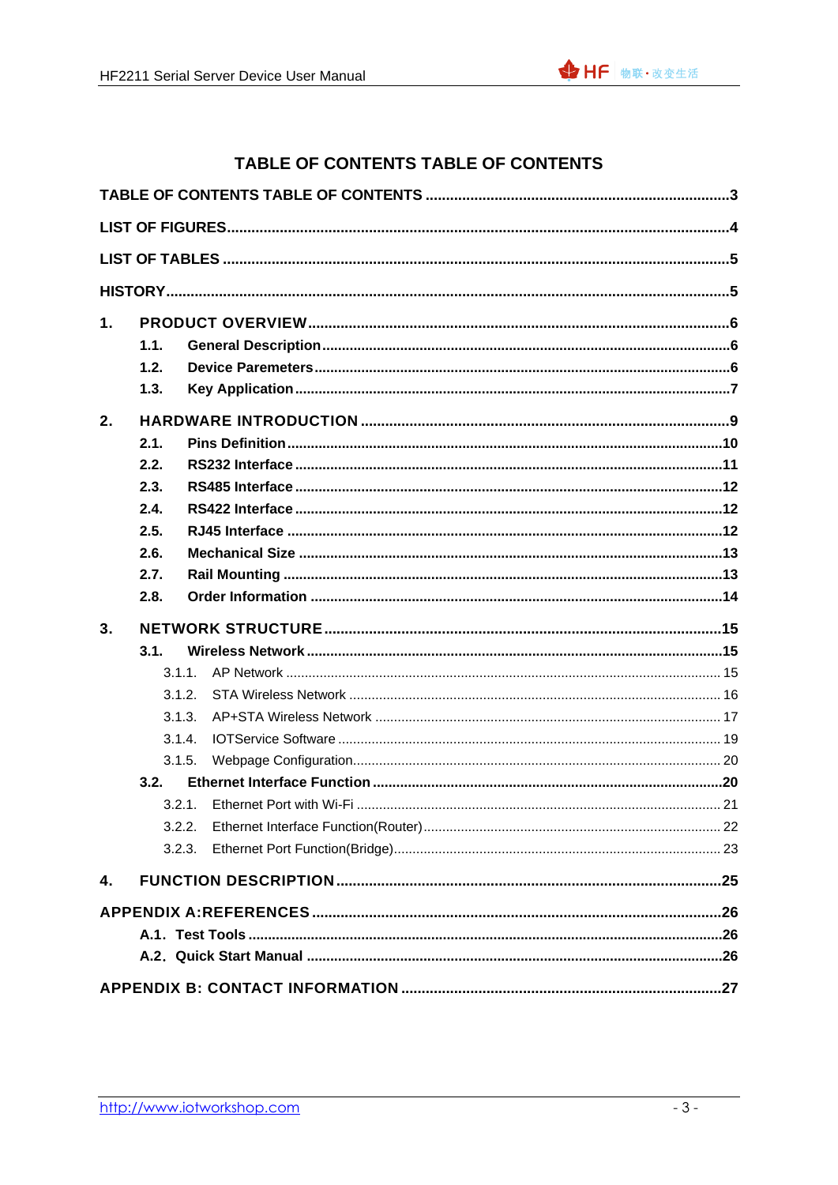<span id="page-2-0"></span>



### TABLE OF CONTENTS TABLE OF CONTENTS

| 1. |        |  |
|----|--------|--|
|    | 1.1.   |  |
|    | 1.2.   |  |
|    | 1.3.   |  |
| 2. |        |  |
|    | 2.1.   |  |
|    | 2.2.   |  |
|    | 2.3.   |  |
|    | 2.4.   |  |
|    | 2.5.   |  |
|    | 2.6.   |  |
|    | 2.7.   |  |
|    | 2.8.   |  |
| 3. |        |  |
|    | 3.1.   |  |
|    | 3.1.1. |  |
|    | 3.1.2. |  |
|    | 3.1.3. |  |
|    | 314    |  |
|    | 3.1.5. |  |
|    | 3.2.   |  |
|    | 3.2.1. |  |
|    | 3.2.2. |  |
|    | 3.2.3. |  |
| 4. |        |  |
|    |        |  |
|    |        |  |
|    |        |  |
|    |        |  |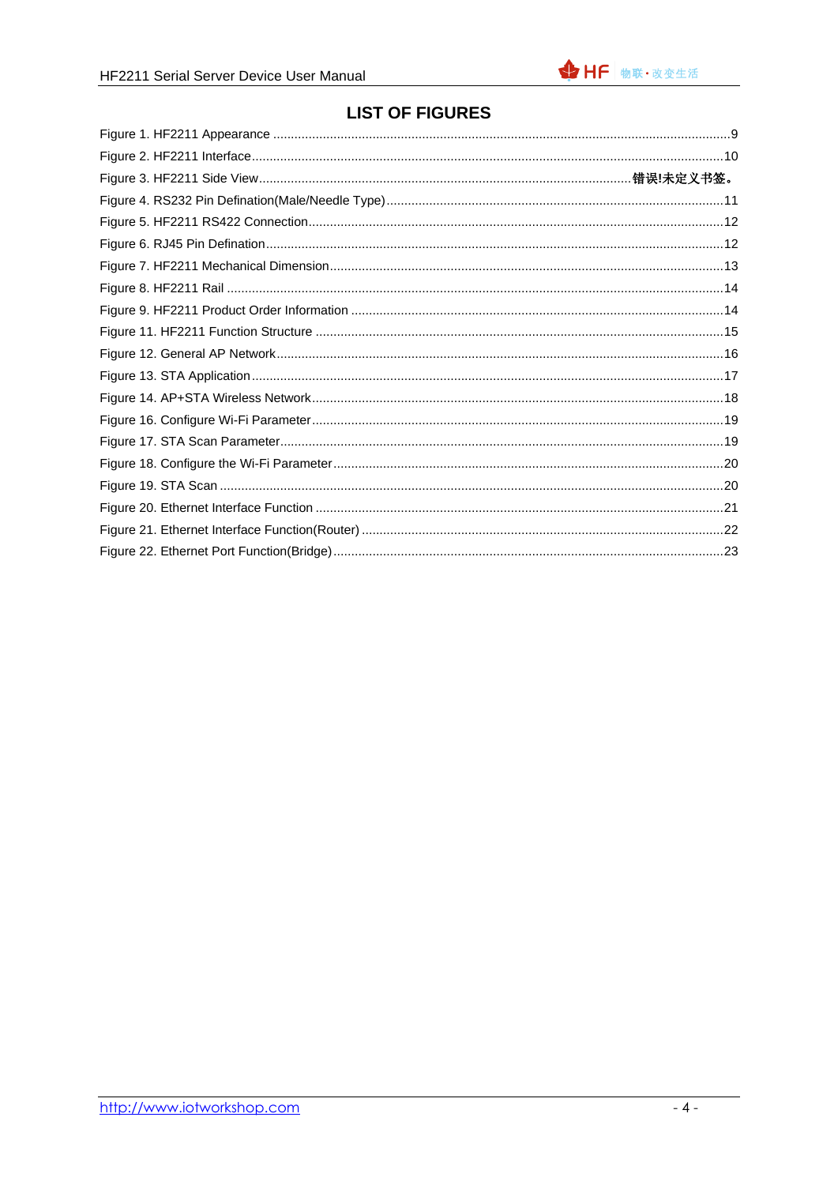## **LIST OF FIGURES**

<span id="page-3-0"></span>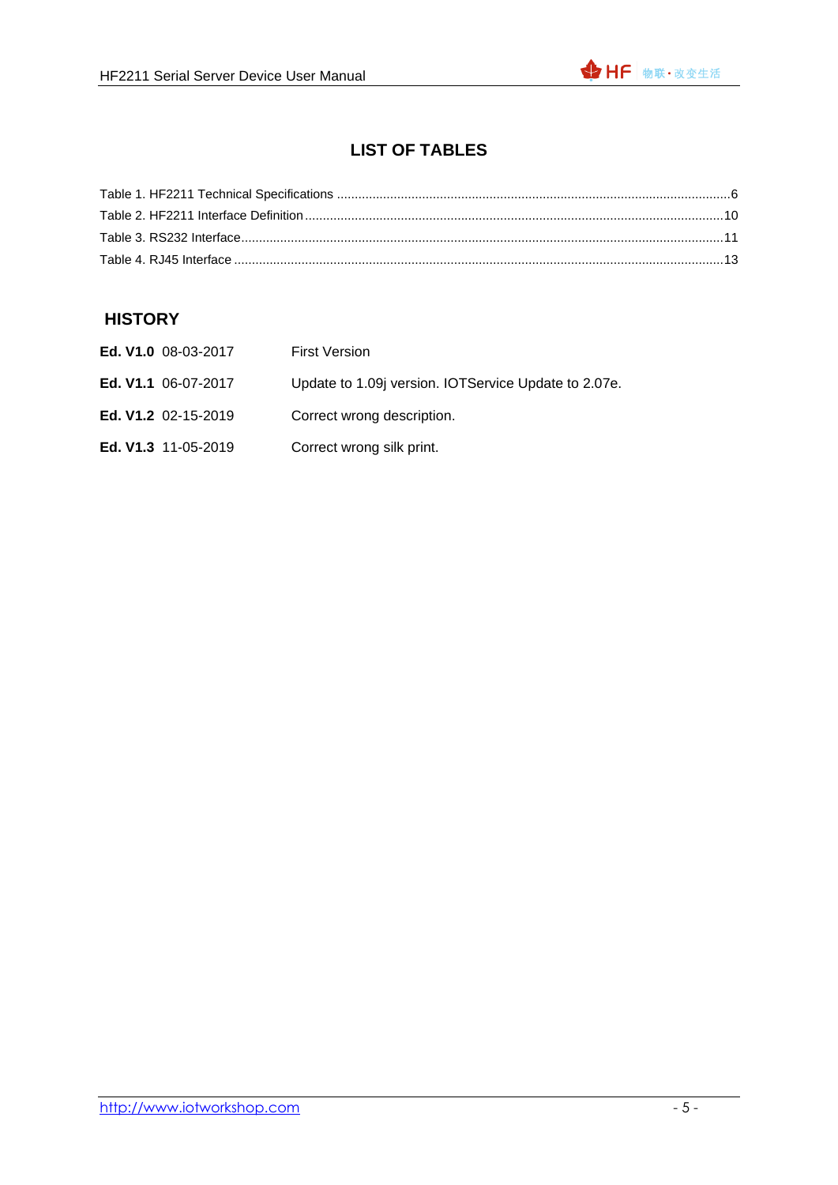## **LIST OF TABLES**

<span id="page-4-0"></span>

#### <span id="page-4-1"></span>**HISTORY**

| Ed. V1.0 08-03-2017        | <b>First Version</b>                                |
|----------------------------|-----------------------------------------------------|
| <b>Ed. V1.1</b> 06-07-2017 | Update to 1.09 version. IOTService Update to 2.07e. |
| <b>Ed. V1.2</b> 02-15-2019 | Correct wrong description.                          |
| <b>Ed. V1.3</b> 11-05-2019 | Correct wrong silk print.                           |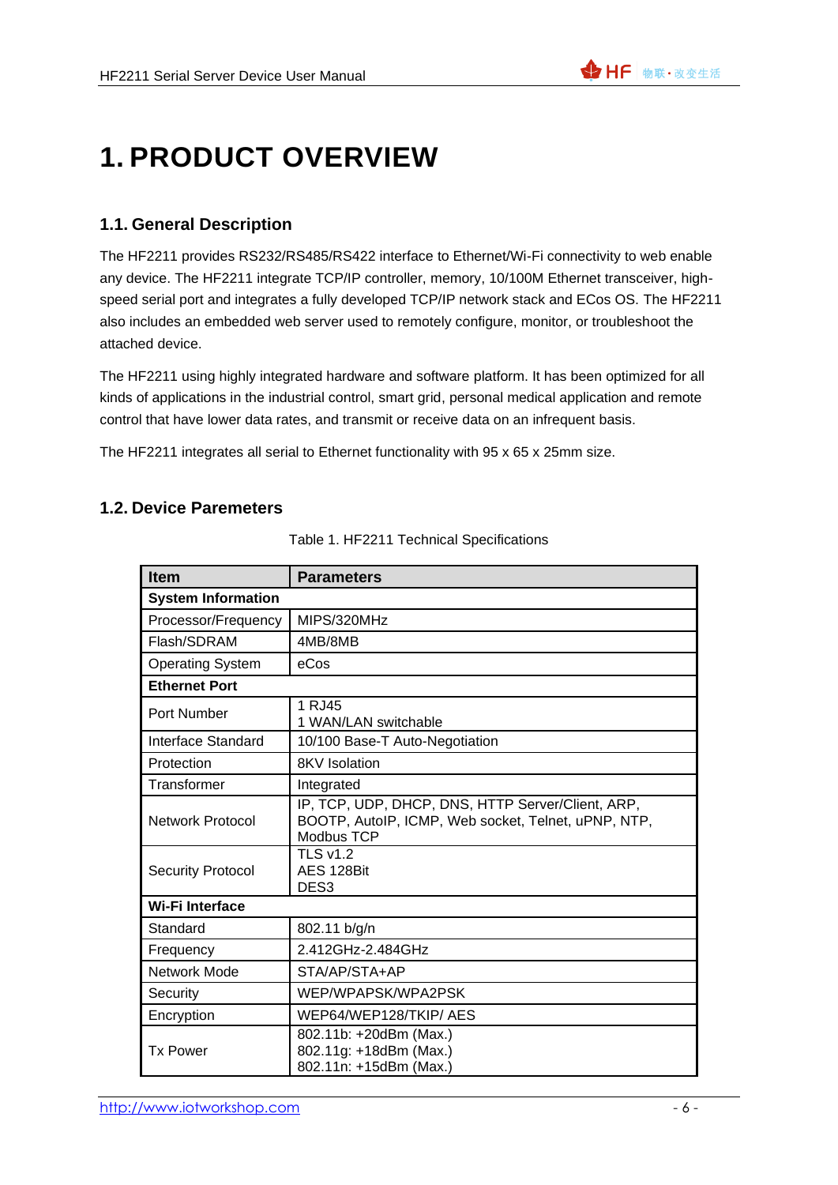# <span id="page-5-0"></span>**1. PRODUCT OVERVIEW**

### <span id="page-5-1"></span>**1.1. General Description**

The HF2211 provides RS232/RS485/RS422 interface to Ethernet/Wi-Fi connectivity to web enable any device. The HF2211 integrate TCP/IP controller, memory, 10/100M Ethernet transceiver, highspeed serial port and integrates a fully developed TCP/IP network stack and ECos OS. The HF2211 also includes an embedded web server used to remotely configure, monitor, or troubleshoot the attached device.

The HF2211 using highly integrated hardware and software platform. It has been optimized for all kinds of applications in the industrial control, smart grid, personal medical application and remote control that have lower data rates, and transmit or receive data on an infrequent basis.

<span id="page-5-2"></span>The HF2211 integrates all serial to Ethernet functionality with 95 x 65 x 25mm size.

#### **1.2. Device Paremeters**

| <b>Item</b>               | <b>Parameters</b>                                                                                                      |  |  |
|---------------------------|------------------------------------------------------------------------------------------------------------------------|--|--|
| <b>System Information</b> |                                                                                                                        |  |  |
| Processor/Frequency       | MIPS/320MHz                                                                                                            |  |  |
| Flash/SDRAM               | 4MB/8MB                                                                                                                |  |  |
| <b>Operating System</b>   | eCos                                                                                                                   |  |  |
| <b>Ethernet Port</b>      |                                                                                                                        |  |  |
| Port Number               | 1 RJ45<br>1 WAN/LAN switchable                                                                                         |  |  |
| Interface Standard        | 10/100 Base-T Auto-Negotiation                                                                                         |  |  |
| Protection                | <b>8KV</b> Isolation                                                                                                   |  |  |
| Transformer               | Integrated                                                                                                             |  |  |
| <b>Network Protocol</b>   | IP, TCP, UDP, DHCP, DNS, HTTP Server/Client, ARP,<br>BOOTP, AutoIP, ICMP, Web socket, Telnet, uPNP, NTP,<br>Modbus TCP |  |  |
| <b>Security Protocol</b>  | <b>TLS v1.2</b><br>AES 128Bit<br>DES <sub>3</sub>                                                                      |  |  |
| <b>Wi-Fi Interface</b>    |                                                                                                                        |  |  |
| Standard                  | 802.11 b/g/n                                                                                                           |  |  |
| Frequency                 | 2.412GHz-2.484GHz                                                                                                      |  |  |
| Network Mode              | STA/AP/STA+AP                                                                                                          |  |  |
| Security                  | WEP/WPAPSK/WPA2PSK                                                                                                     |  |  |
| Encryption                | WEP64/WEP128/TKIP/AES                                                                                                  |  |  |
| <b>Tx Power</b>           | 802.11b: +20dBm (Max.)<br>802.11g: +18dBm (Max.)<br>802.11n: +15dBm (Max.)                                             |  |  |

Table 1. HF2211 Technical Specifications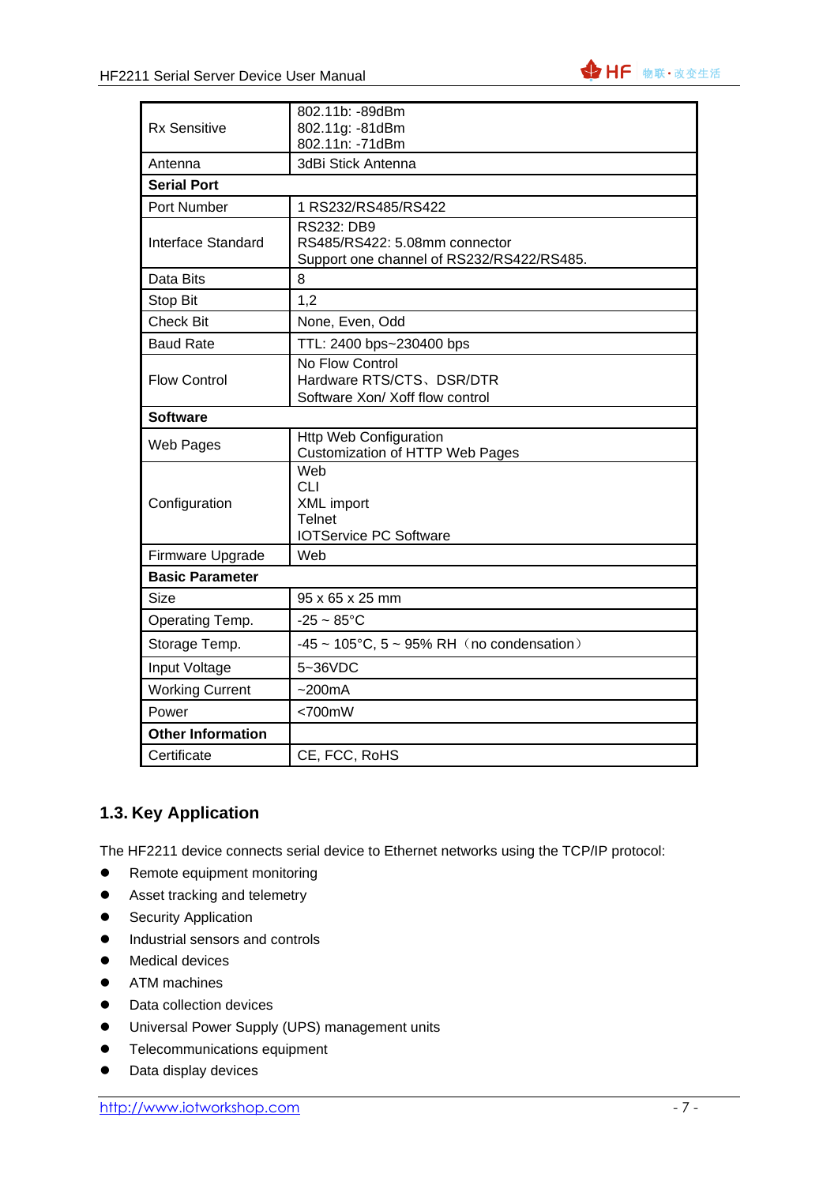

|                          | 802.11b: -89dBm                                        |  |  |
|--------------------------|--------------------------------------------------------|--|--|
| <b>Rx Sensitive</b>      | 802.11g: -81dBm                                        |  |  |
|                          | 802.11n: -71dBm                                        |  |  |
| Antenna                  | 3dBi Stick Antenna                                     |  |  |
| <b>Serial Port</b>       |                                                        |  |  |
| Port Number              | 1 RS232/RS485/RS422                                    |  |  |
|                          | <b>RS232: DB9</b>                                      |  |  |
| Interface Standard       | RS485/RS422: 5.08mm connector                          |  |  |
|                          | Support one channel of RS232/RS422/RS485.              |  |  |
| Data Bits                | 8                                                      |  |  |
| Stop Bit                 | 1,2                                                    |  |  |
| <b>Check Bit</b>         | None, Even, Odd                                        |  |  |
| <b>Baud Rate</b>         | TTL: 2400 bps~230400 bps                               |  |  |
|                          | No Flow Control                                        |  |  |
| <b>Flow Control</b>      | Hardware RTS/CTS、DSR/DTR                               |  |  |
|                          | Software Xon/ Xoff flow control                        |  |  |
| <b>Software</b>          |                                                        |  |  |
| Web Pages                | <b>Http Web Configuration</b>                          |  |  |
|                          | <b>Customization of HTTP Web Pages</b><br>Web          |  |  |
|                          | <b>CLI</b>                                             |  |  |
| Configuration            | XML import                                             |  |  |
|                          | <b>Telnet</b>                                          |  |  |
|                          | <b>IOTService PC Software</b>                          |  |  |
| Firmware Upgrade         | Web                                                    |  |  |
| <b>Basic Parameter</b>   |                                                        |  |  |
| Size                     | 95 x 65 x 25 mm                                        |  |  |
| Operating Temp.          | $-25 \sim 85^{\circ}$ C                                |  |  |
| Storage Temp.            | $-45 \sim 105^{\circ}$ C, 5 ~ 95% RH (no condensation) |  |  |
| Input Voltage            | 5~36VDC                                                |  |  |
| <b>Working Current</b>   | ~200mA                                                 |  |  |
| Power                    | $<700$ mW                                              |  |  |
| <b>Other Information</b> |                                                        |  |  |
| Certificate              | CE, FCC, RoHS                                          |  |  |

### <span id="page-6-0"></span>**1.3. Key Application**

The HF2211 device connects serial device to Ethernet networks using the TCP/IP protocol:

- Remote equipment monitoring
- Asset tracking and telemetry
- Security Application
- ⚫ Industrial sensors and controls
- ⚫ Medical devices
- ATM machines
- Data collection devices
- ⚫ Universal Power Supply (UPS) management units
- ⚫ Telecommunications equipment
- ⚫ Data display devices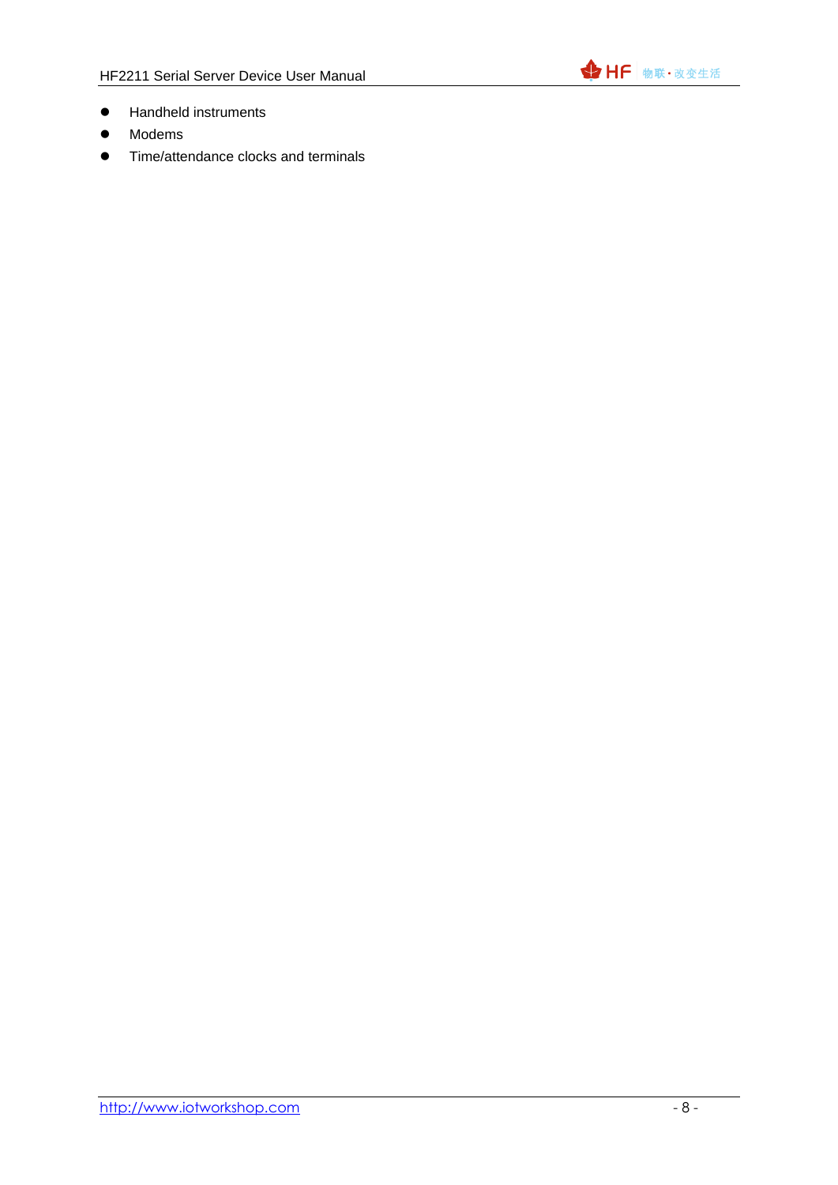

- ⚫ Handheld instruments
- ⚫ Modems
- Time/attendance clocks and terminals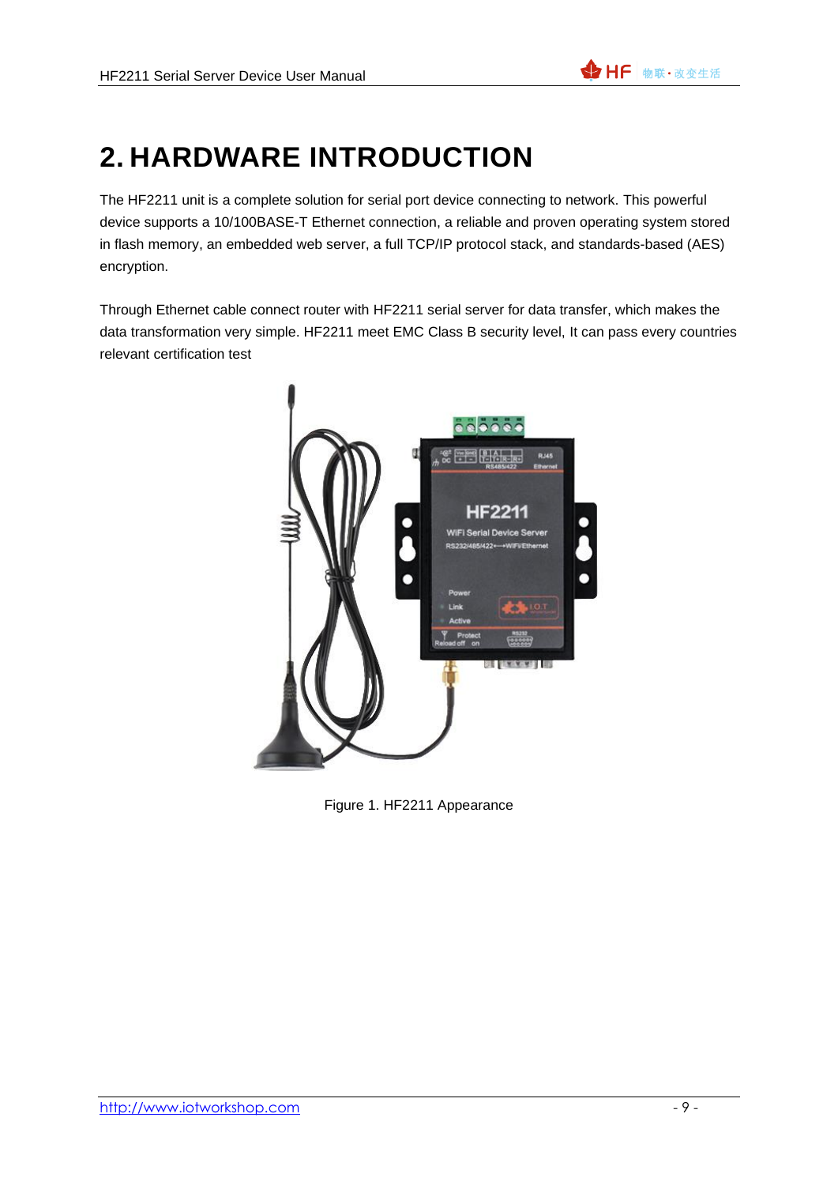# <span id="page-8-0"></span>**2. HARDWARE INTRODUCTION**

The HF2211 unit is a complete solution for serial port device connecting to network. This powerful device supports a 10/100BASE-T Ethernet connection, a reliable and proven operating system stored in flash memory, an embedded web server, a full TCP/IP protocol stack, and standards-based (AES) encryption.

Through Ethernet cable connect router with HF2211 serial server for data transfer, which makes the data transformation very simple. HF2211 meet EMC Class B security level, It can pass every countries relevant certification test



Figure 1. HF2211 Appearance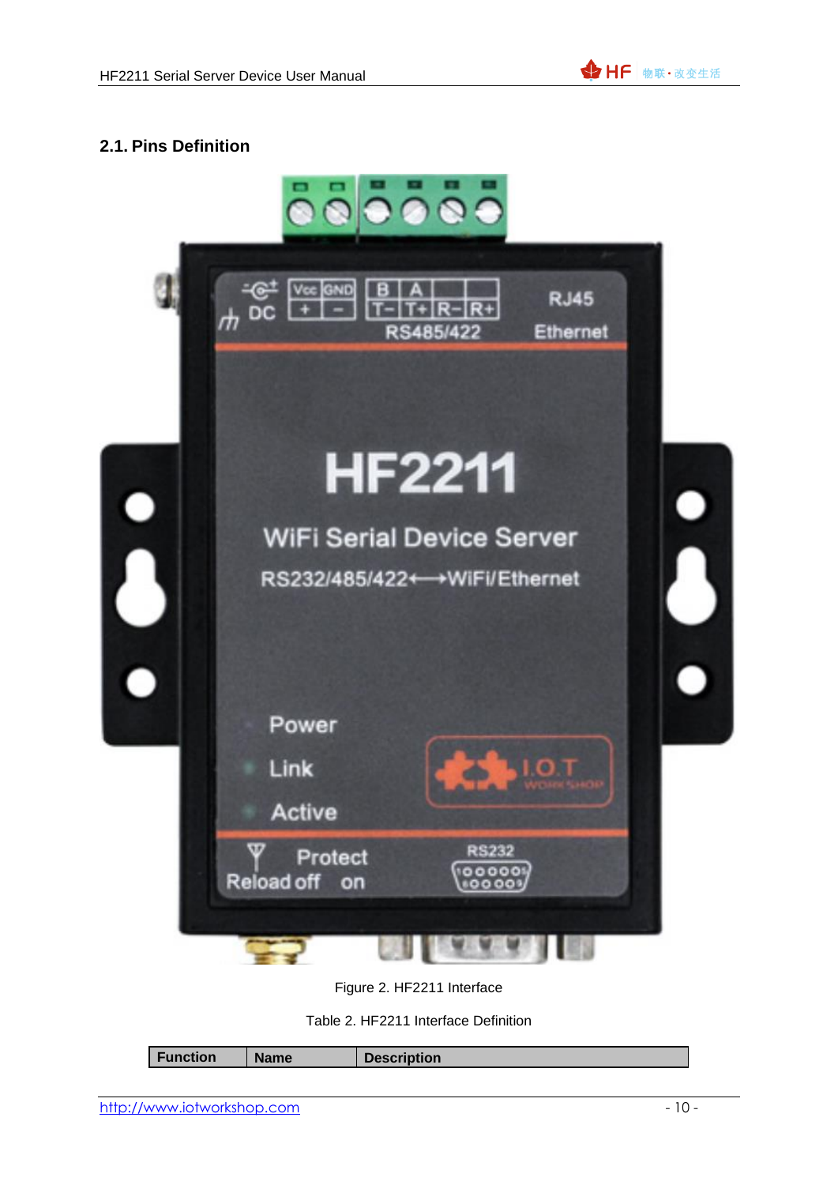

### <span id="page-9-0"></span>**2.1. Pins Definition**



Figure 2. HF2211 Interface

Table 2. HF2211 Interface Definition

|  |  | Function | <b>Name</b> | <b>Description</b> |
|--|--|----------|-------------|--------------------|
|--|--|----------|-------------|--------------------|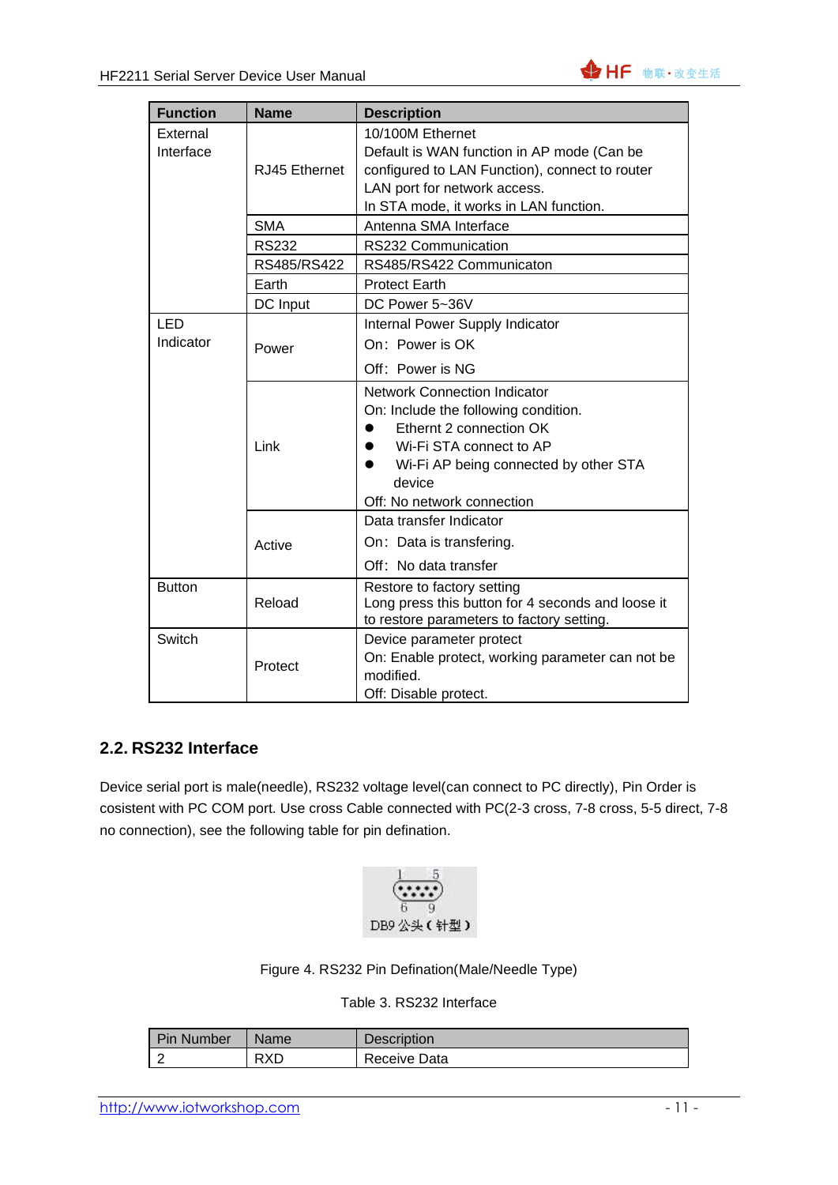| <b>Function</b>       | <b>Name</b>   | <b>Description</b>                                                                                                                                                                                                                           |
|-----------------------|---------------|----------------------------------------------------------------------------------------------------------------------------------------------------------------------------------------------------------------------------------------------|
| External<br>Interface | RJ45 Ethernet | 10/100M Ethernet<br>Default is WAN function in AP mode (Can be<br>configured to LAN Function), connect to router<br>LAN port for network access.<br>In STA mode, it works in LAN function.                                                   |
|                       | <b>SMA</b>    | Antenna SMA Interface                                                                                                                                                                                                                        |
|                       | <b>RS232</b>  | RS232 Communication                                                                                                                                                                                                                          |
|                       | RS485/RS422   | RS485/RS422 Communicaton                                                                                                                                                                                                                     |
|                       | Earth         | <b>Protect Earth</b>                                                                                                                                                                                                                         |
|                       | DC Input      | DC Power 5~36V                                                                                                                                                                                                                               |
| LED<br>Indicator      | Power         | Internal Power Supply Indicator<br>On: Power is OK<br>Off: Power is NG                                                                                                                                                                       |
|                       | Link          | <b>Network Connection Indicator</b><br>On: Include the following condition.<br>Ethernt 2 connection OK<br>Wi-Fi STA connect to AP<br>$\bullet$<br>Wi-Fi AP being connected by other STA<br>$\bullet$<br>device<br>Off: No network connection |
|                       | Active        | Data transfer Indicator<br>On: Data is transfering.<br>Off: No data transfer                                                                                                                                                                 |
| <b>Button</b>         | Reload        | Restore to factory setting<br>Long press this button for 4 seconds and loose it<br>to restore parameters to factory setting.                                                                                                                 |
| Switch                | Protect       | Device parameter protect<br>On: Enable protect, working parameter can not be<br>modified.<br>Off: Disable protect.                                                                                                                           |

### <span id="page-10-0"></span>**2.2. RS232 Interface**

Device serial port is male(needle), RS232 voltage level(can connect to PC directly), Pin Order is cosistent with PC COM port. Use cross Cable connected with PC(2-3 cross, 7-8 cross, 5-5 direct, 7-8 no connection), see the following table for pin defination.



#### Figure 4. RS232 Pin Defination(Male/Needle Type)

#### Table 3. RS232 Interface

| <b>Pin Number</b>        | Name | Description  |
|--------------------------|------|--------------|
| $\overline{\phantom{a}}$ | RXD  | Receive Data |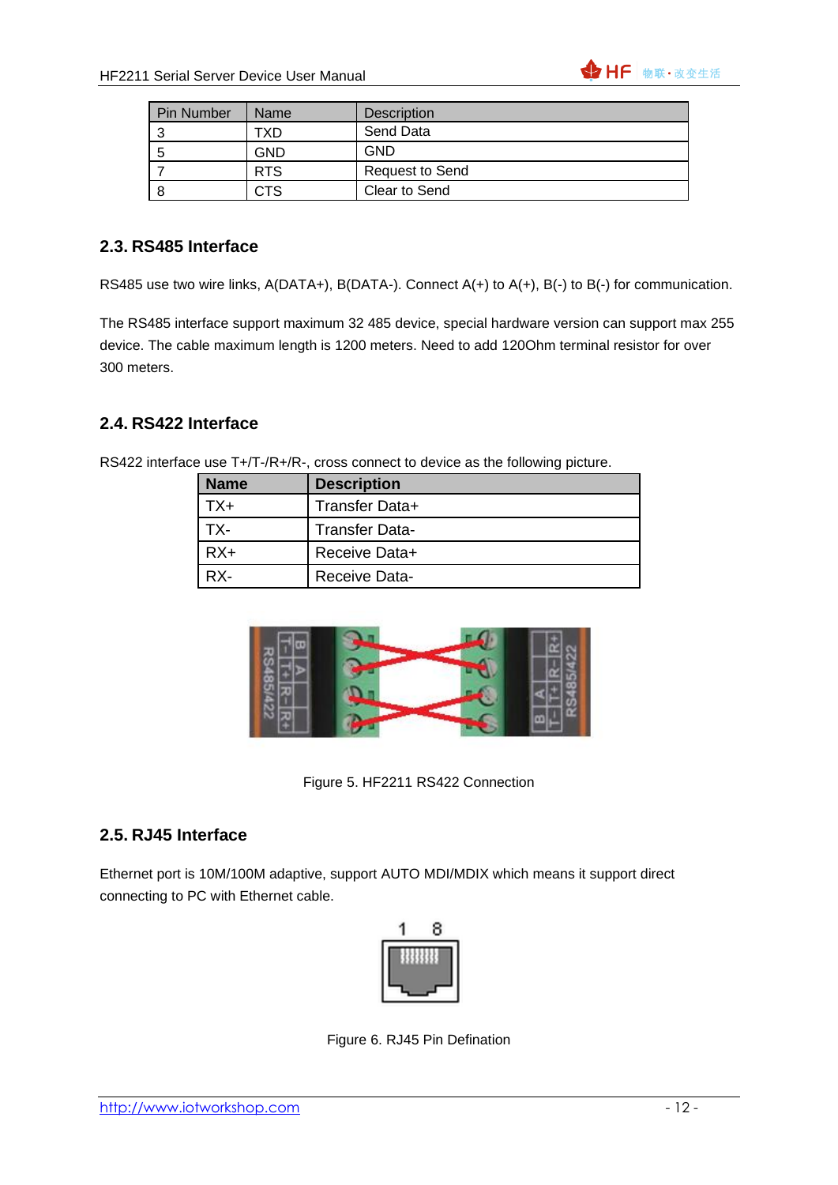

| <b>Pin Number</b> | Name       | <b>Description</b>     |
|-------------------|------------|------------------------|
|                   | TXD.       | Send Data              |
| b                 | <b>GND</b> | GND                    |
|                   | <b>RTS</b> | <b>Request to Send</b> |
|                   | CTS        | Clear to Send          |

#### <span id="page-11-0"></span>**2.3. RS485 Interface**

RS485 use two wire links, A(DATA+), B(DATA-). Connect A(+) to A(+), B(-) to B(-) for communication.

The RS485 interface support maximum 32 485 device, special hardware version can support max 255 device. The cable maximum length is 1200 meters. Need to add 120Ohm terminal resistor for over 300 meters.

#### <span id="page-11-1"></span>**2.4. RS422 Interface**

|  | <b>Name</b> | <b>Description</b>    |
|--|-------------|-----------------------|
|  | TX+         | Transfer Data+        |
|  | TX-         | <b>Transfer Data-</b> |
|  | $RX+$       | Receive Data+         |
|  | $RX -$      | <b>Receive Data-</b>  |

RS422 interface use T+/T-/R+/R-, cross connect to device as the following picture.



Figure 5. HF2211 RS422 Connection

#### <span id="page-11-2"></span>**2.5. RJ45 Interface**

Ethernet port is 10M/100M adaptive, support AUTO MDI/MDIX which means it support direct connecting to PC with Ethernet cable.



Figure 6. RJ45 Pin Defination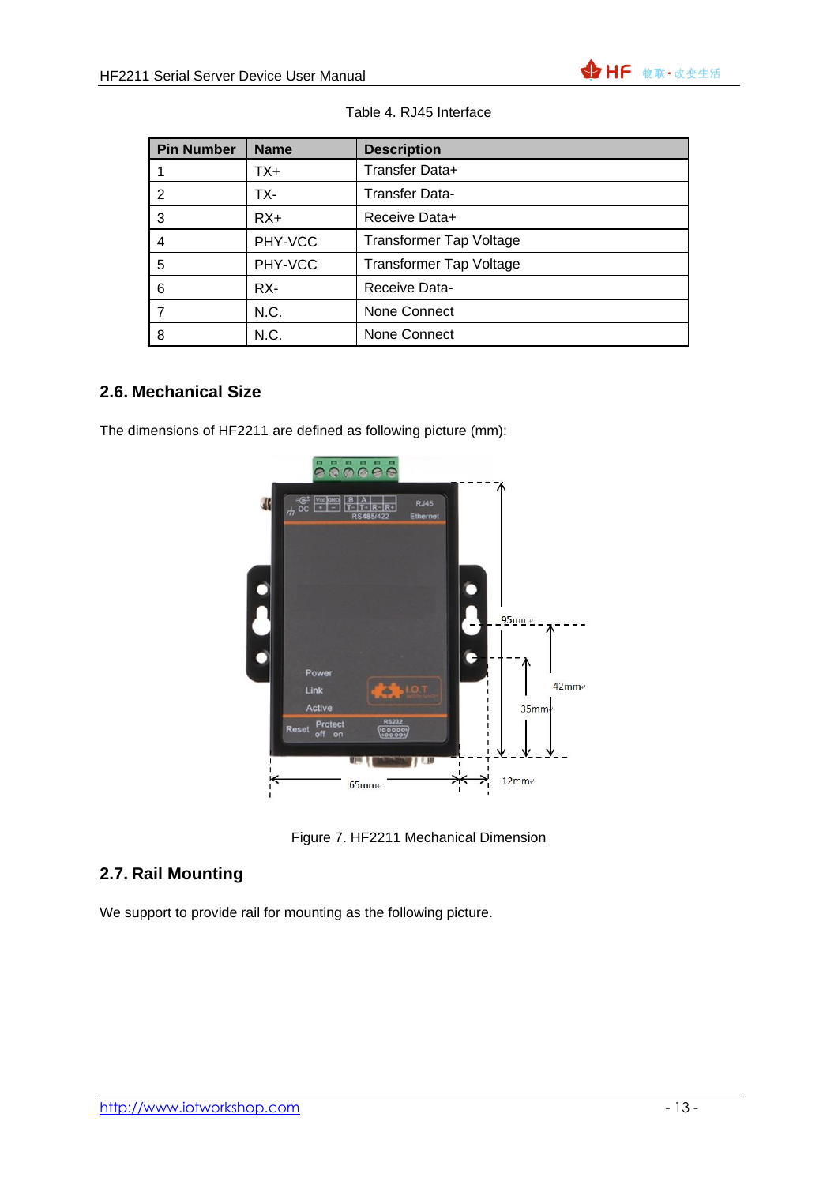

| <b>Pin Number</b> | <b>Name</b> | <b>Description</b>             |
|-------------------|-------------|--------------------------------|
|                   | TX+         | Transfer Data+                 |
| 2                 | TX-         | <b>Transfer Data-</b>          |
| 3                 | $RX+$       | Receive Data+                  |
| 4                 | PHY-VCC     | <b>Transformer Tap Voltage</b> |
| 5                 | PHY-VCC     | <b>Transformer Tap Voltage</b> |
| 6                 | RX-         | Receive Data-                  |
|                   | N.C.        | None Connect                   |
| 8                 | N.C.        | None Connect                   |

#### Table 4. RJ45 Interface

#### <span id="page-12-0"></span>**2.6. Mechanical Size**

The dimensions of HF2211 are defined as following picture (mm):



Figure 7. HF2211 Mechanical Dimension

### <span id="page-12-1"></span>**2.7. Rail Mounting**

We support to provide rail for mounting as the following picture.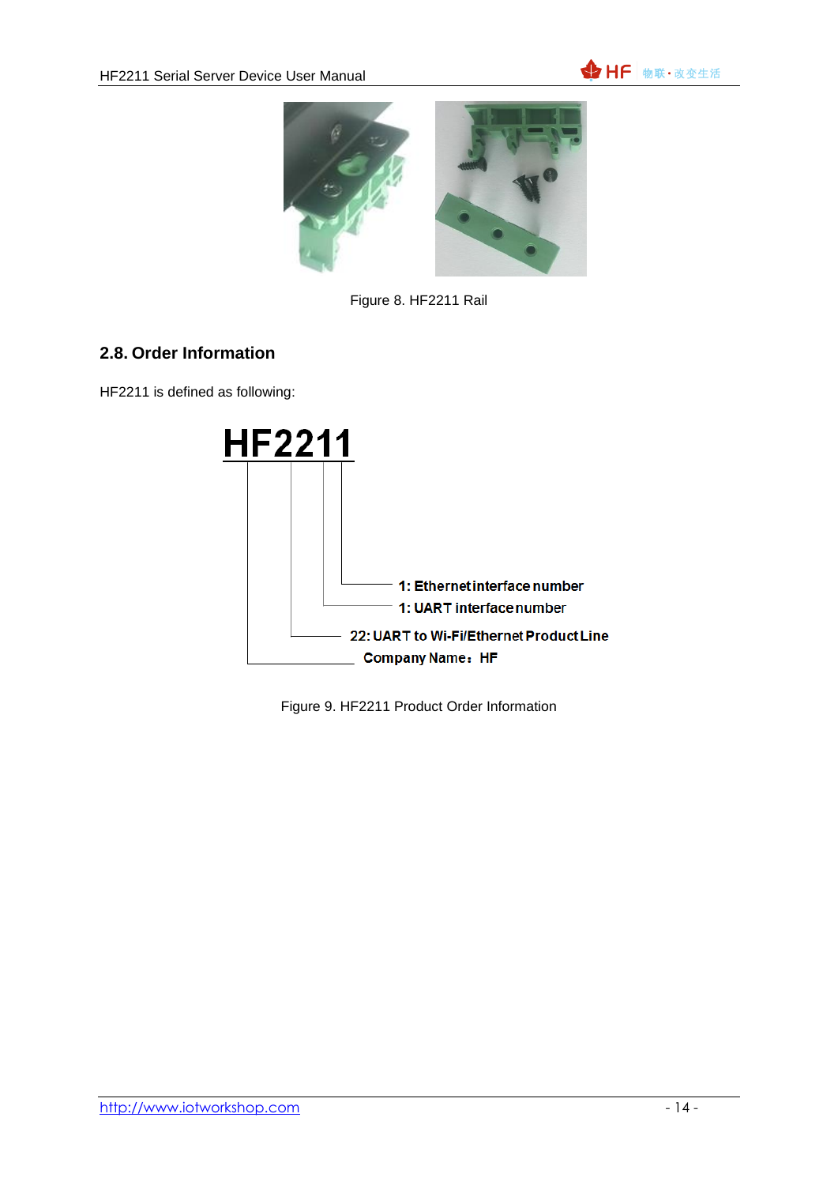



Figure 8. HF2211 Rail

### <span id="page-13-0"></span>**2.8. Order Information**

HF2211 is defined as following:



Figure 9. HF2211 Product Order Information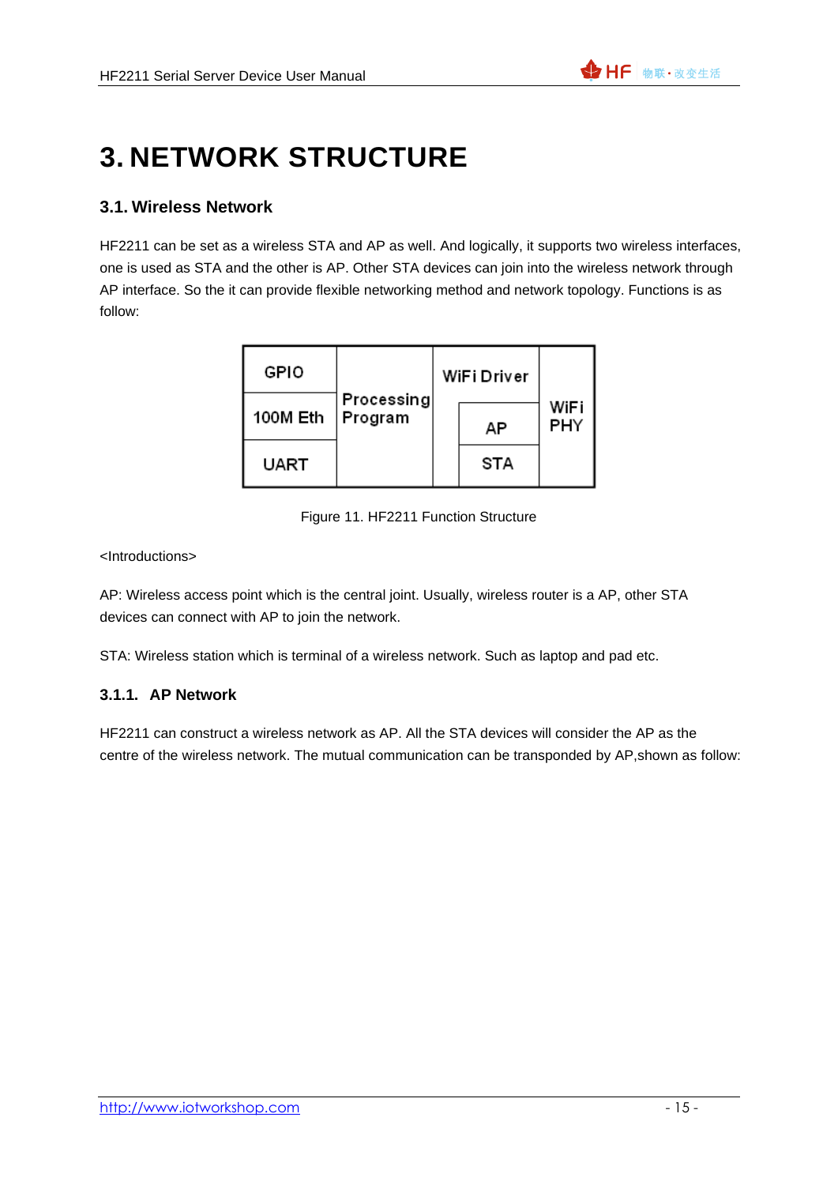# <span id="page-14-0"></span>**3. NETWORK STRUCTURE**

#### <span id="page-14-1"></span>**3.1. Wireless Network**

HF2211 can be set as a wireless STA and AP as well. And logically, it supports two wireless interfaces, one is used as STA and the other is AP. Other STA devices can join into the wireless network through AP interface. So the it can provide flexible networking method and network topology. Functions is as follow:

| GPIO     |                       | WiFi Driver |             |
|----------|-----------------------|-------------|-------------|
| 100M Eth | Processing<br>Program | AP          | WiFi<br>PHY |
| UART     |                       | STA         |             |

Figure 11. HF2211 Function Structure

#### <Introductions>

AP: Wireless access point which is the central joint. Usually, wireless router is a AP, other STA devices can connect with AP to join the network.

<span id="page-14-2"></span>STA: Wireless station which is terminal of a wireless network. Such as laptop and pad etc.

#### **3.1.1. AP Network**

HF2211 can construct a wireless network as AP. All the STA devices will consider the AP as the centre of the wireless network. The mutual communication can be transponded by AP,shown as follow: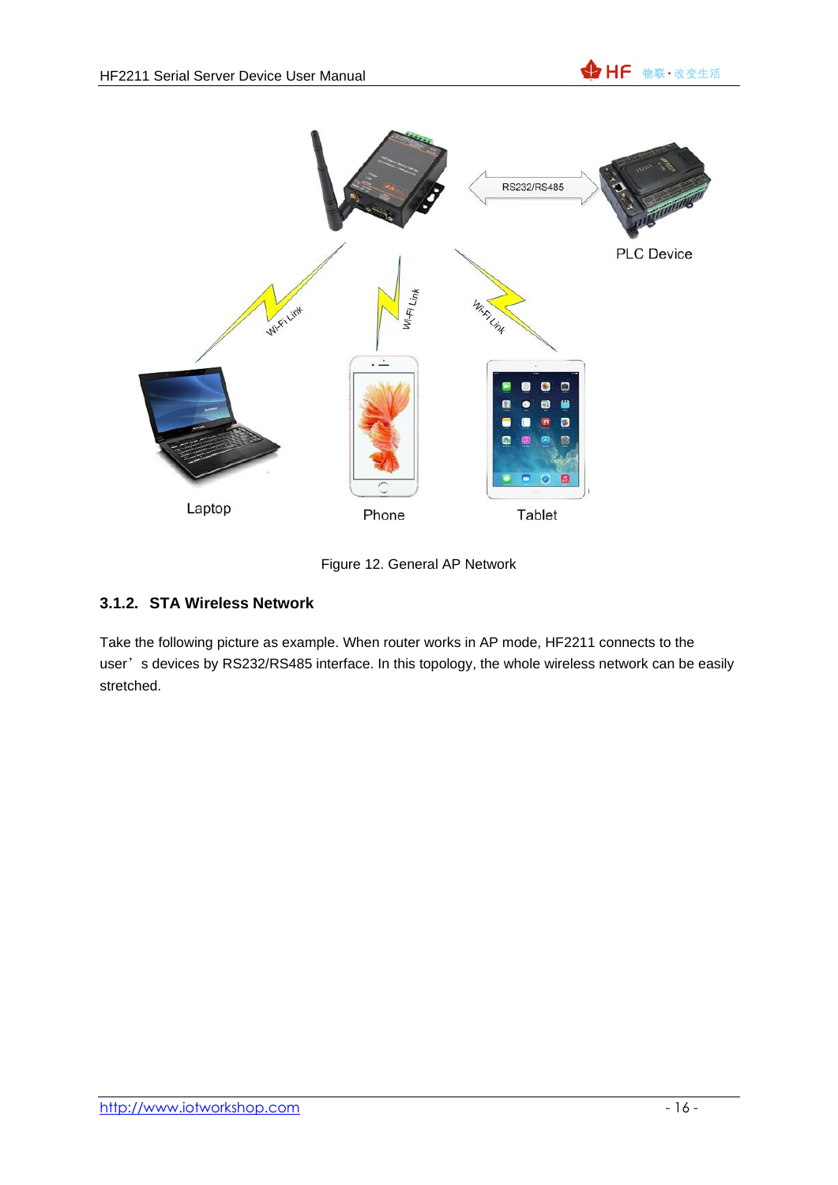



Figure 12. General AP Network

### <span id="page-15-0"></span>**3.1.2. STA Wireless Network**

Take the following picture as example. When router works in AP mode, HF2211 connects to the user's devices by RS232/RS485 interface. In this topology, the whole wireless network can be easily stretched.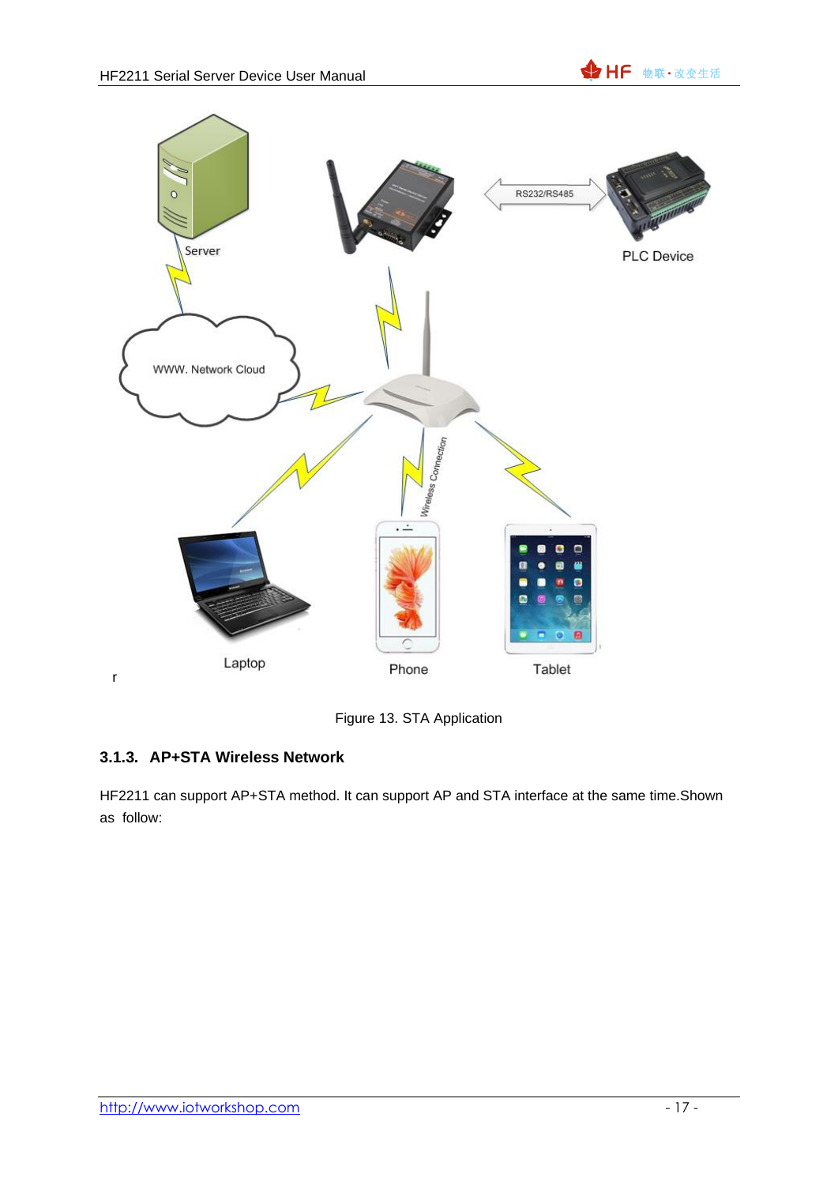



Figure 13. STA Application

### <span id="page-16-0"></span>**3.1.3. AP+STA Wireless Network**

HF2211 can support AP+STA method. It can support AP and STA interface at the same time.Shown as follow: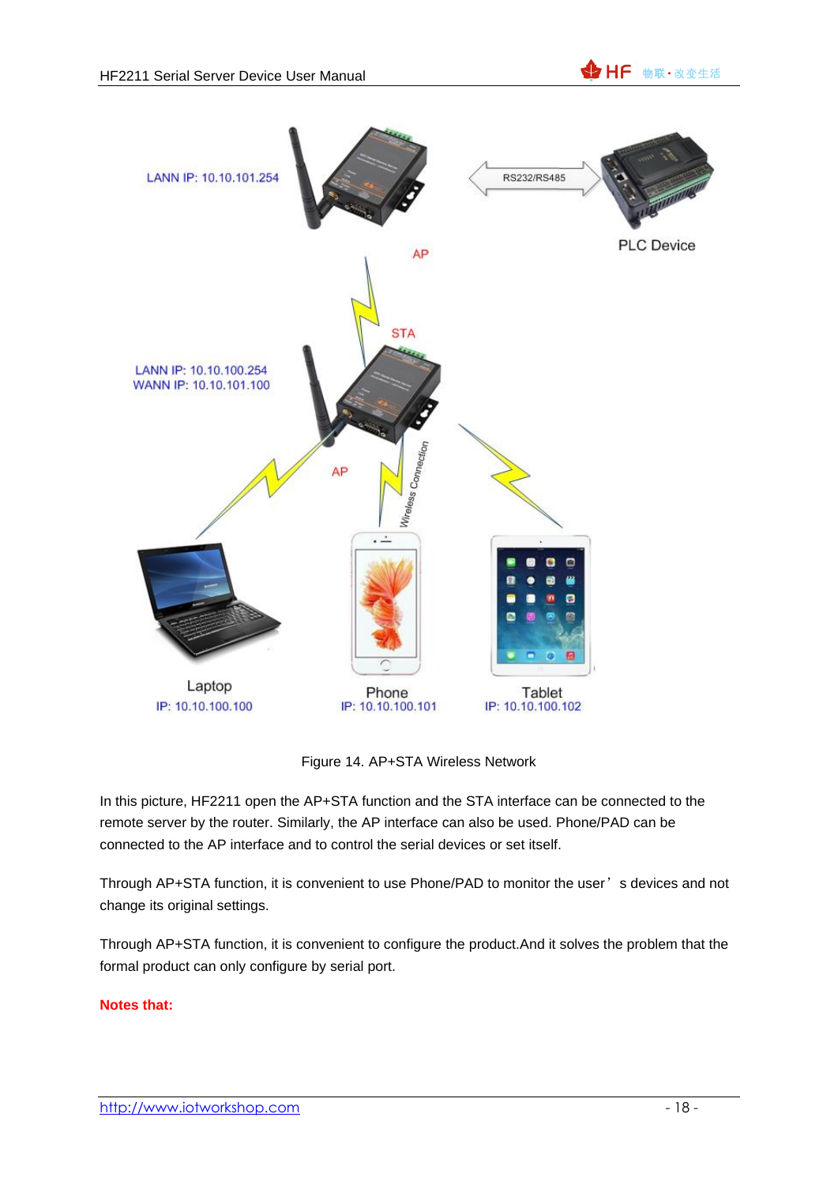

Figure 14. AP+STA Wireless Network

In this picture, HF2211 open the AP+STA function and the STA interface can be connected to the remote server by the router. Similarly, the AP interface can also be used. Phone/PAD can be connected to the AP interface and to control the serial devices or set itself.

Through AP+STA function, it is convenient to use Phone/PAD to monitor the user's devices and not change its original settings.

Through AP+STA function, it is convenient to configure the product.And it solves the problem that the formal product can only configure by serial port.

#### **Notes that:**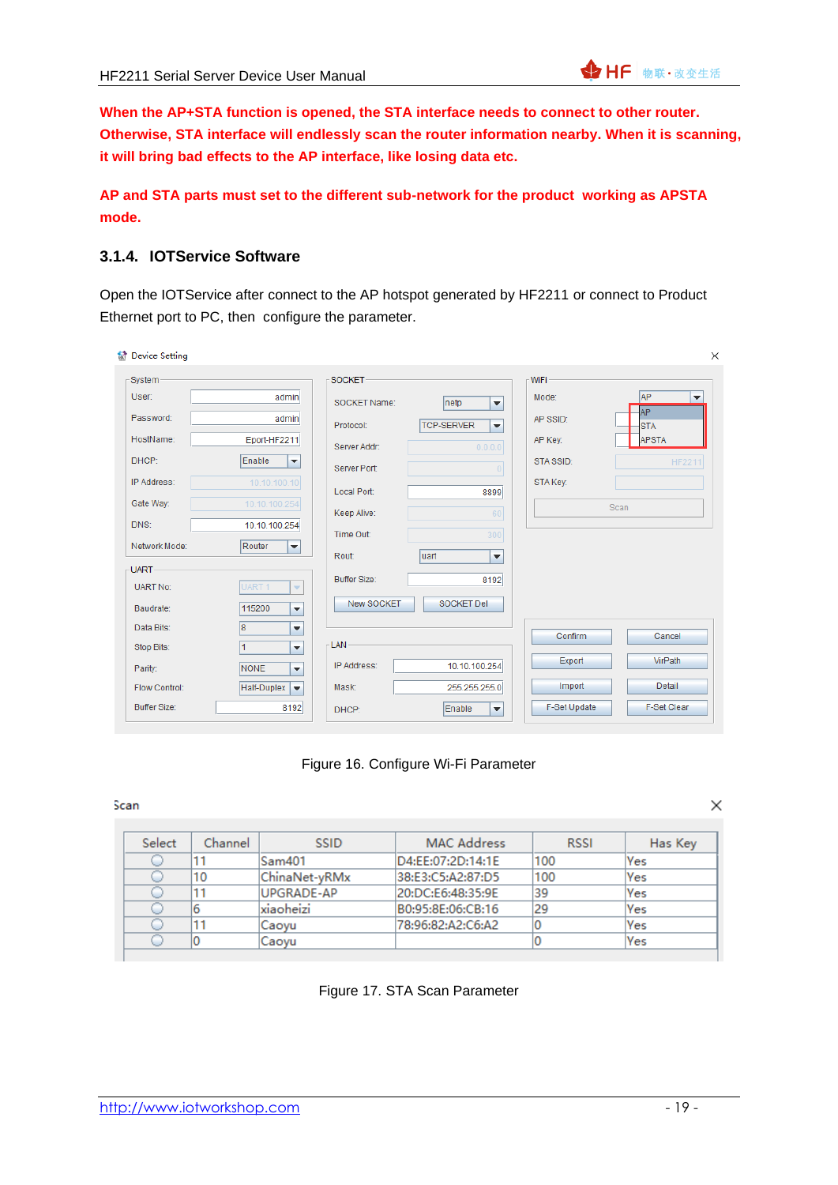**When the AP+STA function is opened, the STA interface needs to connect to other router. Otherwise, STA interface will endlessly scan the router information nearby. When it is scanning, it will bring bad effects to the AP interface, like losing data etc.**

#### **AP and STA parts must set to the different sub-network for the product working as APSTA mode.**

#### <span id="page-18-0"></span>**3.1.4. IOTService Software**

Open the IOTService after connect to the AP hotspot generated by HF2211 or connect to Product Ethernet port to PC, then configure the parameter.

| <b>M</b> Device Setting                                         |                                                            | $\times$                                   |
|-----------------------------------------------------------------|------------------------------------------------------------|--------------------------------------------|
| -System-                                                        | <b>SOCKET-</b>                                             | WiFi-                                      |
| User:<br>admin                                                  | SOCKET Name:<br>Inetp<br>٠                                 | <b>AP</b><br>Mode:<br>$\blacktriangledown$ |
| Password:<br>admin                                              | <b>TCP-SERVER</b><br>Protocol:<br>$\overline{\phantom{a}}$ | AP.<br>AP SSID:<br><b>STA</b>              |
| HostName:<br>Eport-HF2211                                       | 0.0.0.0<br>Server Addr:                                    | <b>APSTA</b><br>AP Key:                    |
| Enable<br>DHCP:<br>$\blacktriangledown$                         | Server Port:<br>$\overline{0}$                             | STA SSID:<br><b>HF2211</b>                 |
| 10.10.100.10<br>IP Address:                                     | Local Port:<br>8899                                        | STA Key:                                   |
| Gate Way:<br>10.10.100.254                                      | Keep Alive:<br>60                                          | Scan                                       |
| DNS:<br>10.10.100.254                                           | Time Out:<br>300                                           |                                            |
| Network Mode:<br>Router<br>$\blacktriangledown$                 | luart<br>Rout:<br>$\overline{\phantom{a}}$                 |                                            |
| -UART-                                                          | <b>Buffer Size:</b>                                        |                                            |
| <b>UART No:</b><br>UART <sub>1</sub><br>$\overline{\mathbf{v}}$ | 8192                                                       |                                            |
| 115200<br>Baudrate:<br>$\overline{\mathbf{v}}$                  | New SOCKET<br><b>SOCKET Del</b>                            |                                            |
| l8<br>Data Bits:<br>$\blacktriangledown$                        |                                                            | Confirm<br>Cancel                          |
| Stop Bits:<br>11<br>$\blacktriangledown$                        | <b>LAN</b>                                                 |                                            |
| <b>NONE</b><br>Parity:<br>$\overline{\mathbf{v}}$               | IP Address:<br>10.10.100.254                               | VirPath<br>Export                          |
| Half-Duplex<br>Flow Control:<br>$\blacktriangledown$            | Mask:<br>255.255.255.0                                     | <b>Detail</b><br>Import                    |
| <b>Buffer Size:</b><br>8192                                     | Enable<br>DHCP:<br>$\overline{\phantom{a}}$                | F-Set Clear<br>F-Set Update                |

Figure 16. Configure Wi-Fi Parameter

Scan

×

| Select | Channel | <b>SSID</b>   | <b>MAC Address</b> | <b>RSSI</b> | Has Key |
|--------|---------|---------------|--------------------|-------------|---------|
|        |         | Sam401        | D4:EE:07:2D:14:1E  | 100         | Yes     |
|        | 10      | ChinaNet-vRMx | 38:E3:C5:A2:87:D5  | 100         | lYes    |
|        |         | UPGRADE-AP    | 20:DC:E6:48:35:9E  | 39          | Yes     |
|        | 6       | xiaoheizi     | B0:95:8E:06:CB:16  | 29          | Yes     |
|        |         | Caoyu         | 78:96:82:A2:C6:A2  |             | Yes     |
|        |         | Caovu         |                    |             | Yes     |

#### Figure 17. STA Scan Parameter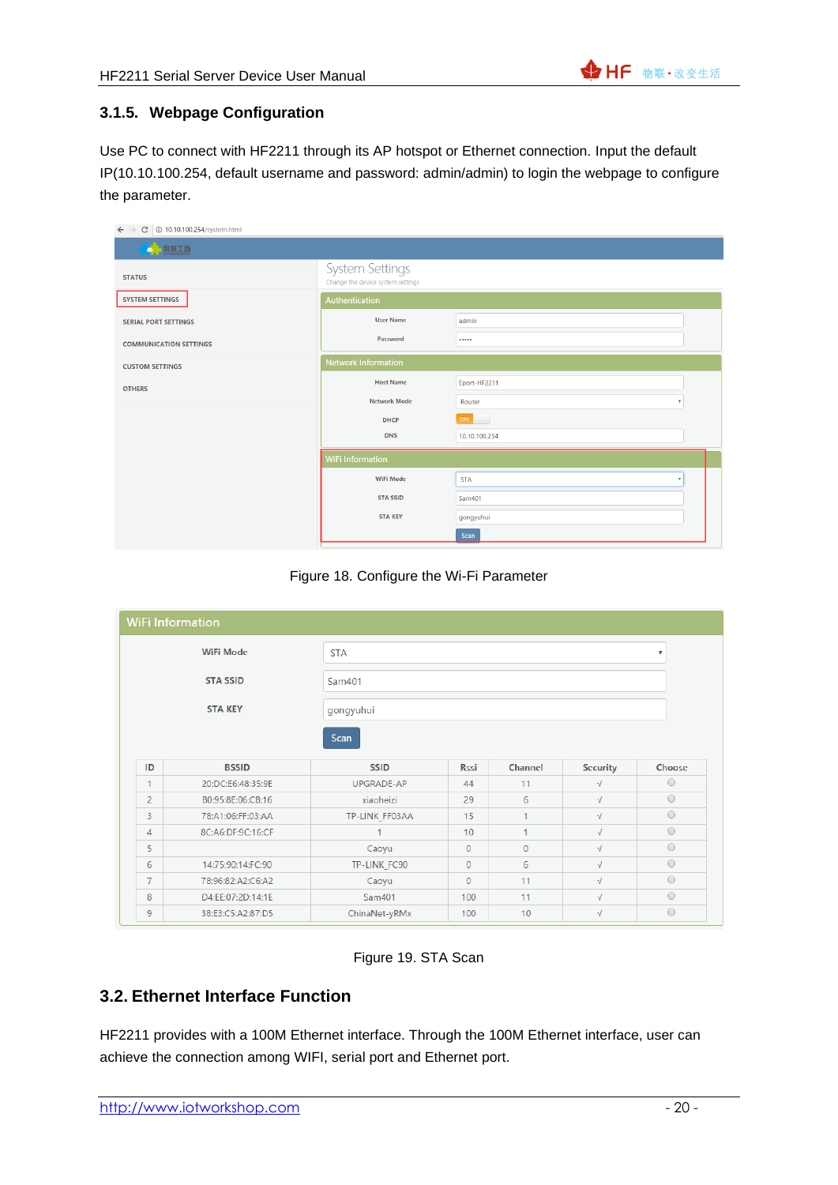#### <span id="page-19-0"></span>**3.1.5. Webpage Configuration**

Use PC to connect with HF2211 through its AP hotspot or Ethernet connection. Input the default IP(10.10.100.254, default username and password: admin/admin) to login the webpage to configure the parameter.

| $\leftarrow$ $\rightarrow$<br>C   10.10.100.254/system.html |                                                             |               |  |  |  |  |  |
|-------------------------------------------------------------|-------------------------------------------------------------|---------------|--|--|--|--|--|
| 4. 栩勝工場                                                     |                                                             |               |  |  |  |  |  |
| <b>STATUS</b>                                               | <b>System Settings</b><br>Change the device system settings |               |  |  |  |  |  |
| <b>SYSTEM SETTINGS</b>                                      | Authentication                                              |               |  |  |  |  |  |
| <b>SERIAL PORT SETTINGS</b>                                 | <b>User Name</b><br>admin                                   |               |  |  |  |  |  |
| <b>COMMUNICATION SETTINGS</b>                               | Password                                                    |               |  |  |  |  |  |
| <b>CUSTOM SETTINGS</b>                                      | <b>Network Information</b>                                  |               |  |  |  |  |  |
| <b>OTHERS</b>                                               | <b>Host Name</b><br>Eport-HF2211                            |               |  |  |  |  |  |
|                                                             | <b>Network Mode</b>                                         | Router        |  |  |  |  |  |
|                                                             | <b>DHCP</b>                                                 | ON            |  |  |  |  |  |
|                                                             | <b>DNS</b>                                                  | 10.10.100.254 |  |  |  |  |  |
|                                                             | <b>WiFi Information</b>                                     |               |  |  |  |  |  |
|                                                             | <b>WiFi Mode</b><br><b>STA</b><br>٠                         |               |  |  |  |  |  |
|                                                             | <b>STA SSID</b><br>Sam401                                   |               |  |  |  |  |  |
|                                                             | <b>STA KEY</b><br>gongyuhui                                 |               |  |  |  |  |  |
|                                                             |                                                             | Scan          |  |  |  |  |  |

Figure 18. Configure the Wi-Fi Parameter

|                | <b>WiFi Information</b> |                     |                         |                |                 |         |  |
|----------------|-------------------------|---------------------|-------------------------|----------------|-----------------|---------|--|
|                | <b>WiFi Mode</b>        | <b>STA</b>          | $\overline{\mathbf{v}}$ |                |                 |         |  |
|                |                         |                     |                         |                |                 |         |  |
|                | <b>STA SSID</b>         | Sam401              |                         |                |                 |         |  |
|                | <b>STA KEY</b>          | gongyuhui           |                         |                |                 |         |  |
| ID             | <b>BSSID</b>            | Scan<br><b>SSID</b> | <b>Rssi</b>             | <b>Channel</b> | <b>Security</b> | Choose  |  |
|                |                         |                     |                         |                |                 | $\circ$ |  |
| 1              | 20:DC:E6:48:35:9E       | UPGRADE-AP          | 44                      | 11             | √               |         |  |
| $\overline{2}$ | B0:95:8E:06:CB:16       | xiaoheizi           | 29                      | 6              | $\sqrt{ }$      | $\circ$ |  |
| 3              |                         |                     |                         |                |                 |         |  |
|                | 78:A1:06:FF:03:AA       | TP-LINK FF03AA      | 15                      |                | $\sqrt{ }$      | $\circ$ |  |
| 4              | 8C:A6:DF:9C:16:CF       |                     | 10                      | ×,             | $\sqrt{ }$      | $\circ$ |  |
| 5              |                         | Caoyu               | $\mathbf{0}$            | $\Omega$       | $\sqrt{2}$      | $\circ$ |  |
| 6              | 14:75:90:14:FC:90       | TP-LINK FC90        | $\mathbf{0}$            | 6              | $\sqrt{ }$      | $\circ$ |  |
| $\overline{7}$ | 78:96:82:A2:C6:A2       | Caoyu               | $\mathbf{0}$            | 11             | $\sqrt{ }$      | $\circ$ |  |
| 8              | D4:EE:07:2D:14:1E       | Sam401              | 100                     | 11             | $\sqrt{2}$      | $\circ$ |  |

Figure 19. STA Scan

### <span id="page-19-1"></span>**3.2. Ethernet Interface Function**

HF2211 provides with a 100M Ethernet interface. Through the 100M Ethernet interface, user can achieve the connection among WIFI, serial port and Ethernet port.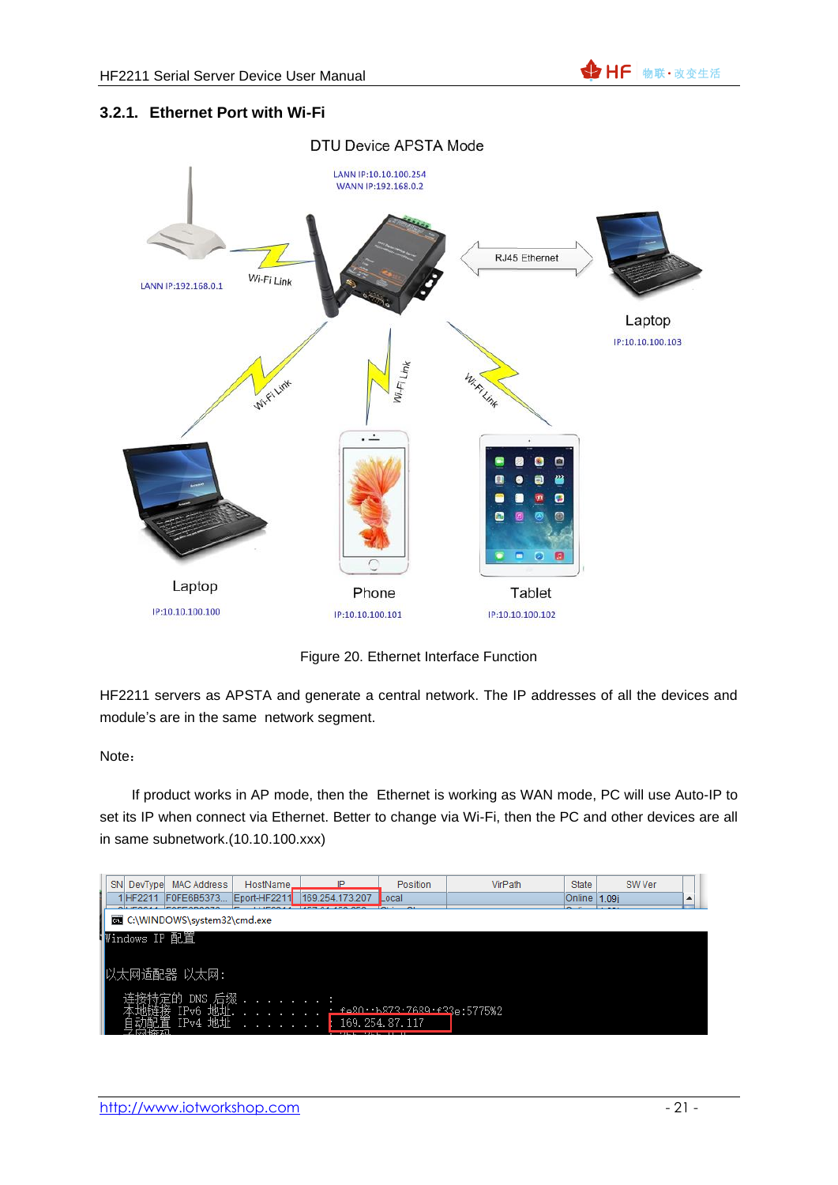#### <span id="page-20-0"></span>**3.2.1. Ethernet Port with Wi-Fi**



Figure 20. Ethernet Interface Function

HF2211 servers as APSTA and generate a central network. The IP addresses of all the devices and module's are in the same network segment.

#### Note:

If product works in AP mode, then the Ethernet is working as WAN mode, PC will use Auto-IP to set its IP when connect via Ethernet. Better to change via Wi-Fi, then the PC and other devices are all in same subnetwork.(10.10.100.xxx)

| SN<br>DevType | <b>MAC Address</b>          | HostName.    |                 | Position                             | VirPath | State        | SW Ver |   |  |
|---------------|-----------------------------|--------------|-----------------|--------------------------------------|---------|--------------|--------|---|--|
| IHF2211       | F0FE6B5373                  | Eport-HF2211 | 169.254.173.207 | Local                                |         | Online 1.09i |        | ዹ |  |
|               |                             |              |                 | -                                    |         |              |        |   |  |
|               | C:\WINDOWS\system32\cmd.exe |              |                 |                                      |         |              |        |   |  |
| ₩indows IP 配置 |                             |              |                 |                                      |         |              |        |   |  |
|               |                             |              |                 |                                      |         |              |        |   |  |
|               |                             |              |                 |                                      |         |              |        |   |  |
|               | 以太网适配器 以太网:                 |              |                 |                                      |         |              |        |   |  |
|               |                             |              |                 |                                      |         |              |        |   |  |
|               | DNS 后缀                      |              |                 |                                      |         |              |        |   |  |
|               | IPv6 地址.                    |              |                 | <u>. forn. h873.7689.f33e:5775%2</u> |         |              |        |   |  |
|               | IPv4<br>出烘                  |              |                 | 169.254.87.117                       |         |              |        |   |  |
|               |                             |              |                 |                                      |         |              |        |   |  |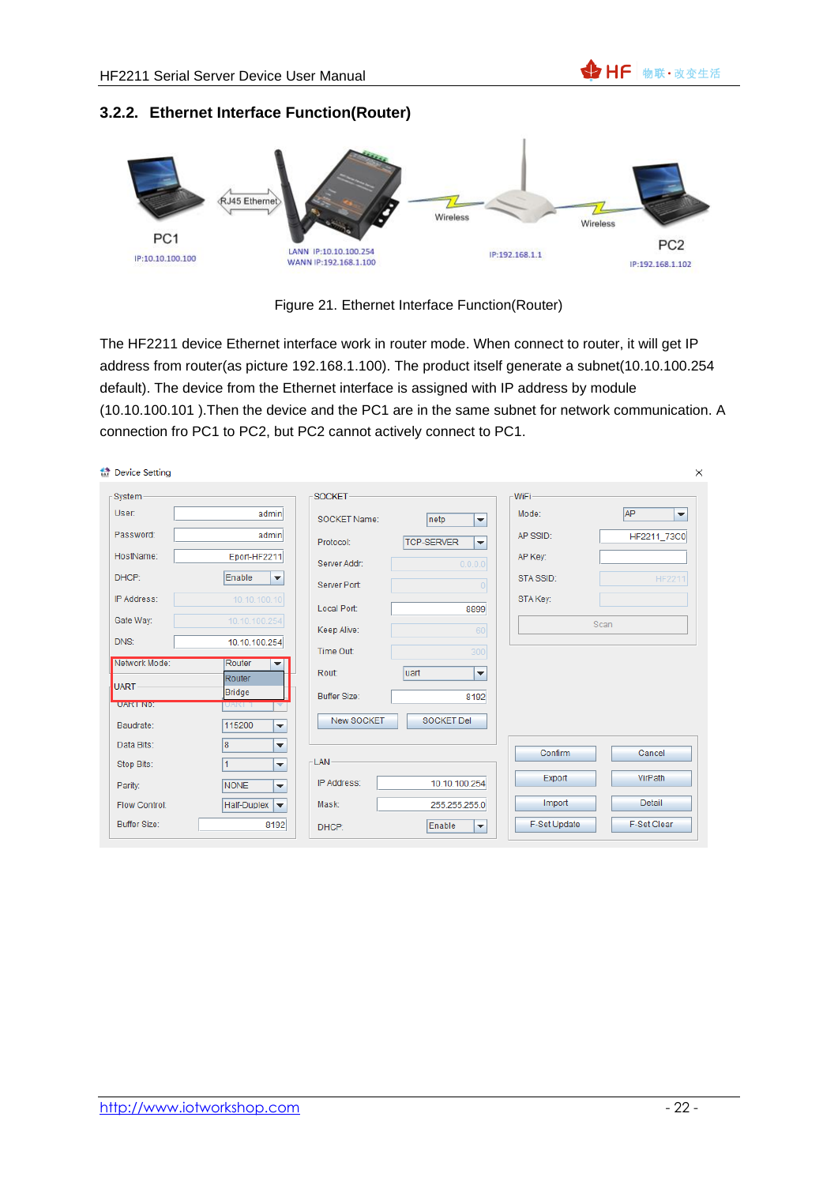#### <span id="page-21-0"></span>**3.2.2. Ethernet Interface Function(Router)**



Figure 21. Ethernet Interface Function(Router)

The HF2211 device Ethernet interface work in router mode. When connect to router, it will get IP address from router(as picture 192.168.1.100). The product itself generate a subnet(10.10.100.254 default). The device from the Ethernet interface is assigned with IP address by module (10.10.100.101 ).Then the device and the PC1 are in the same subnet for network communication. A connection fro PC1 to PC2, but PC2 cannot actively connect to PC1.

| the Device Setting  |                                           |                     |                                               |              | $\times$                              |
|---------------------|-------------------------------------------|---------------------|-----------------------------------------------|--------------|---------------------------------------|
| System              |                                           | <b>SOCKET</b>       |                                               | <b>WiFi</b>  |                                       |
| User:               | admin                                     | SOCKET Name:        | netp<br>$\blacktriangledown$                  | Mode:        | <b>AP</b><br>$\overline{\phantom{a}}$ |
| Password:           | admin                                     | Protocol:           | <b>TCP-SERVER</b><br>$\overline{\phantom{a}}$ | AP SSID:     | HF2211 73C0                           |
| HostName:           | Eport-HF2211                              | Server Addr:        | 0.0.0.0                                       | AP Key:      |                                       |
| DHCP:               | Enable<br>$\blacktriangledown$            | Server Port:        |                                               | STA SSID:    | <b>HF2211</b>                         |
| IP Address:         | 10.10.100.10                              | Local Port:         | 8899                                          | STA Key:     |                                       |
| Gate Way:           | 10.10.100.254                             | Keep Alive:         | 60                                            |              | Scan                                  |
| DNS:                | 10.10.100.254                             | Time Out:           | 300                                           |              |                                       |
| Network Mode:       | Router<br>$\overline{\phantom{a}}$        | Rout:               | luart<br>$\blacktriangledown$                 |              |                                       |
| UART-               | Router<br>Bridge                          | <b>Buffer Size:</b> | 8192                                          |              |                                       |
| <b>UART NO:</b>     | UART T<br>▼                               |                     |                                               |              |                                       |
| Baudrate:           | 115200<br>۰                               | <b>New SOCKET</b>   | <b>SOCKET Del</b>                             |              |                                       |
| Data Bits:          | 8<br>$\overline{\phantom{a}}$             |                     |                                               | Confirm      | Cancel                                |
| Stop Bits:          | $\overline{1}$<br>$\overline{\mathbf{v}}$ | <b>LAN</b>          |                                               |              |                                       |
| Parity:             | <b>NONE</b><br>۰                          | IP Address:         | 10.10.100.254                                 | Export       | VirPath                               |
| Flow Control:       | Half-Duplex<br>$\overline{\phantom{a}}$   | Mask:               | 255.255.255.0                                 | Import       | <b>Detail</b>                         |
| <b>Buffer Size:</b> | 8192                                      | DHCP:               | Enable<br>$\blacktriangledown$                | F-Set Update | F-Set Clear                           |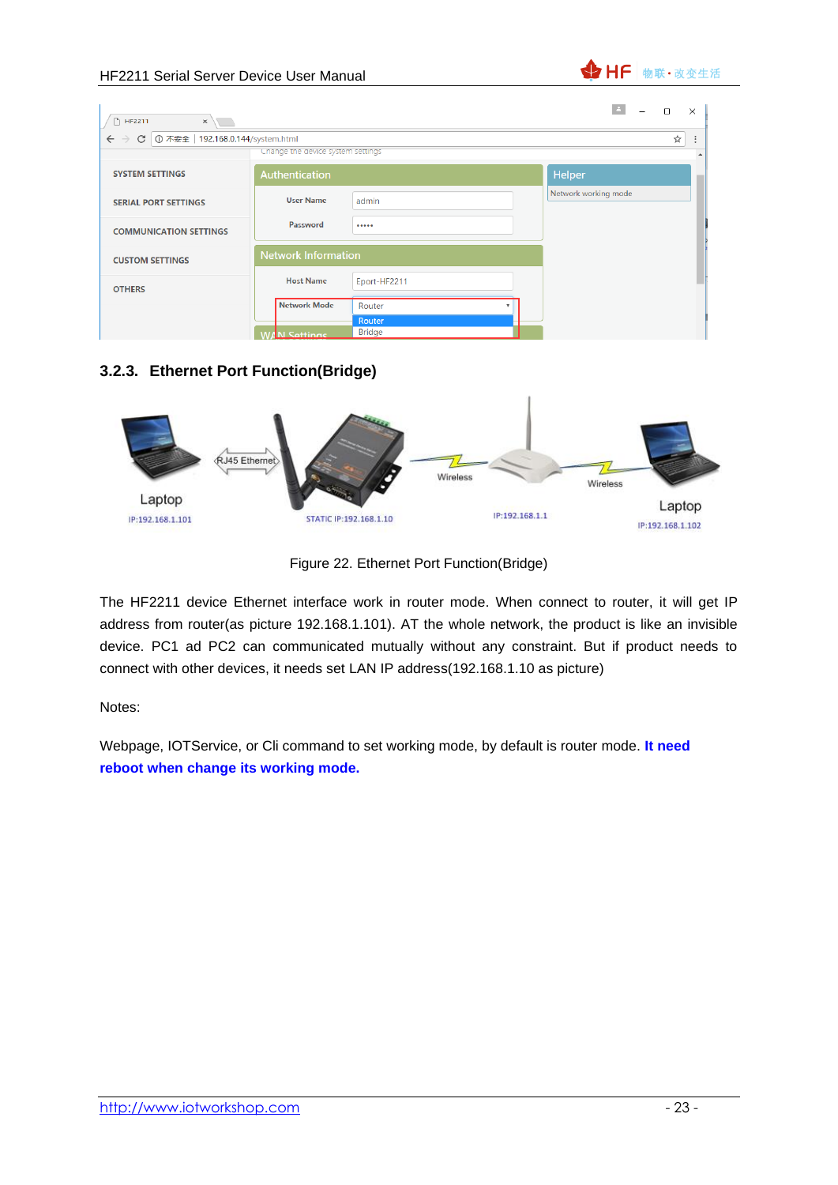

| □ HF2211<br>$\times$                                        |                                   |               |                      | $\times$<br>$\Box$ |
|-------------------------------------------------------------|-----------------------------------|---------------|----------------------|--------------------|
| C 1 192.168.0.144/system.html<br>$\leftarrow$ $\rightarrow$ |                                   |               |                      | ☆<br>÷             |
|                                                             | Change the device system settings |               |                      | $\blacktriangle$   |
| <b>SYSTEM SETTINGS</b>                                      | Authentication                    |               | <b>Helper</b>        |                    |
| <b>SERIAL PORT SETTINGS</b>                                 | <b>User Name</b>                  | admin         | Network working mode |                    |
| <b>COMMUNICATION SETTINGS</b>                               | Password                          |               |                      |                    |
| <b>CUSTOM SETTINGS</b>                                      | <b>Network Information</b>        |               |                      |                    |
| <b>OTHERS</b>                                               | <b>Host Name</b>                  | Eport-HF2211  |                      |                    |
|                                                             | <b>Network Mode</b>               | Router        |                      |                    |
|                                                             |                                   | Router        |                      |                    |
|                                                             | <b>WAN Sattings</b>               | <b>Bridge</b> |                      |                    |

#### <span id="page-22-0"></span>**3.2.3. Ethernet Port Function(Bridge)**



Figure 22. Ethernet Port Function(Bridge)

The HF2211 device Ethernet interface work in router mode. When connect to router, it will get IP address from router(as picture 192.168.1.101). AT the whole network, the product is like an invisible device. PC1 ad PC2 can communicated mutually without any constraint. But if product needs to connect with other devices, it needs set LAN IP address(192.168.1.10 as picture)

Notes:

Webpage, IOTService, or Cli command to set working mode, by default is router mode. **It need reboot when change its working mode.**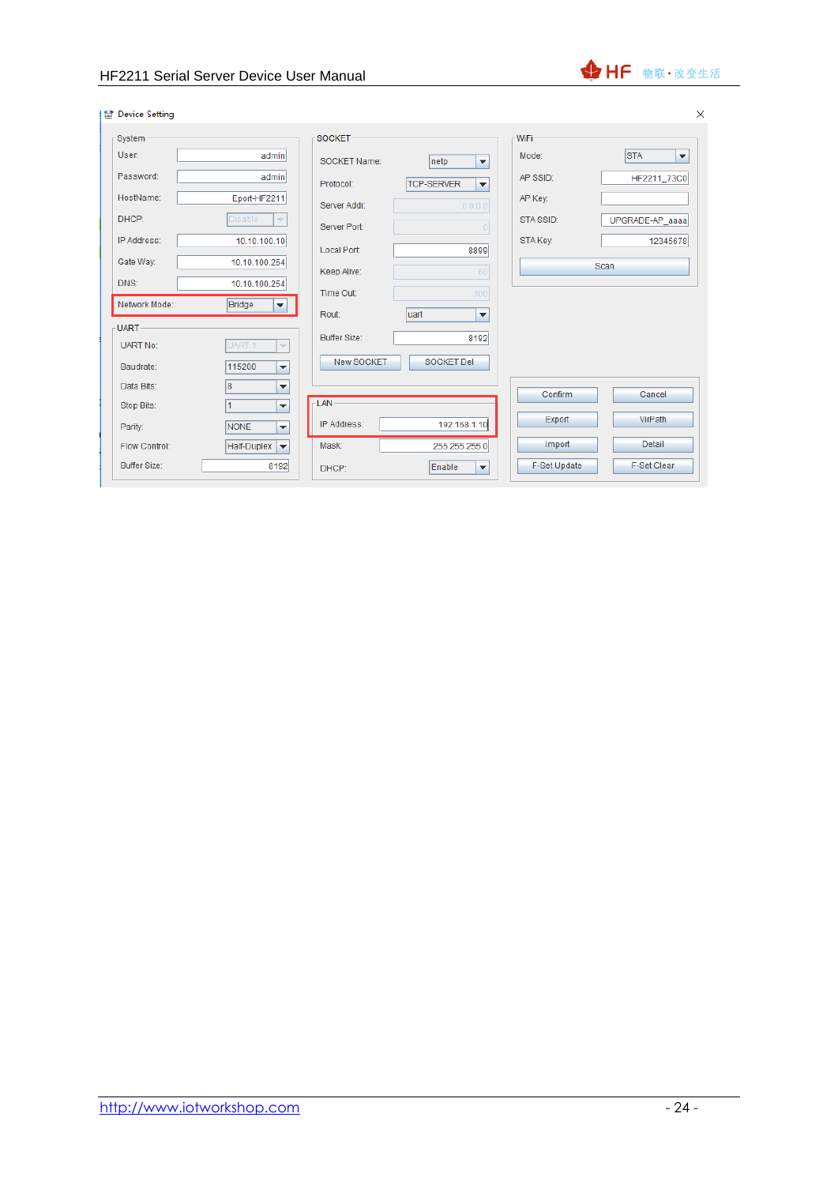

| <b>M</b> Device Setting |                                              |                     |                                               |                     | $\times$                           |
|-------------------------|----------------------------------------------|---------------------|-----------------------------------------------|---------------------|------------------------------------|
| -System-                |                                              | SOCKET-             |                                               | WiFi                |                                    |
| User:                   | admin                                        | SOCKET Name:        | netp<br>$\overline{\mathbf{v}}$               | Mode:               | <b>STA</b><br>$\blacktriangledown$ |
| Password:               | admin                                        | Protocol:           | <b>TCP-SERVER</b><br>$\overline{\phantom{a}}$ | AP SSID:            | HF2211_73C0                        |
| HostName:               | Eport-HF2211                                 | Server Addr:        | 0.0.0.0                                       | AP Key:             |                                    |
| DHCP:                   | <b>Disable</b><br>$\overline{\phantom{a}}$   | Server Port:        | $\overline{0}$                                | STA SSID:           | UPGRADE-AP_aaaa                    |
| IP Address:             | 10.10.100.10                                 | Local Port:         | 8899                                          | STA Key:            | 12345678                           |
| Gate Way:               | 10.10.100.254                                | Keep Alive:         | 60                                            |                     | <b>Scan</b>                        |
| DNS:                    | 10.10.100.254                                | Time Out:           | 300                                           |                     |                                    |
| Network Mode:           | Bridge<br>$\blacktriangledown$               | Rout:               | luart<br>٠                                    |                     |                                    |
| -UART-                  |                                              |                     |                                               |                     |                                    |
| <b>UART No:</b>         | UART <sub>1</sub><br>$\overline{\mathbf{v}}$ | <b>Buffer Size:</b> | 8192                                          |                     |                                    |
| Baudrate:               | 115200<br>٠                                  | New SOCKET          | <b>SOCKET Del</b>                             |                     |                                    |
| Data Bits:              | 8<br>$\overline{\phantom{a}}$                |                     |                                               |                     |                                    |
| Stop Bits:              | 1<br>▼                                       | <b>LAN</b>          |                                               | Confirm             | Cancel                             |
| Parity:                 | <b>NONE</b><br>$\overline{\phantom{a}}$      | IP Address:         | 192.168.1.10                                  | Export              | VirPath                            |
| <b>Flow Control:</b>    | Half-Duplex<br>$\blacktriangledown$          | Mask:               | 255.255.255.0                                 | Import              | <b>Detail</b>                      |
| <b>Buffer Size:</b>     | 8192                                         | DHCP:               | Enable<br>$\overline{\phantom{a}}$            | <b>F-Set Update</b> | <b>F-Set Clear</b>                 |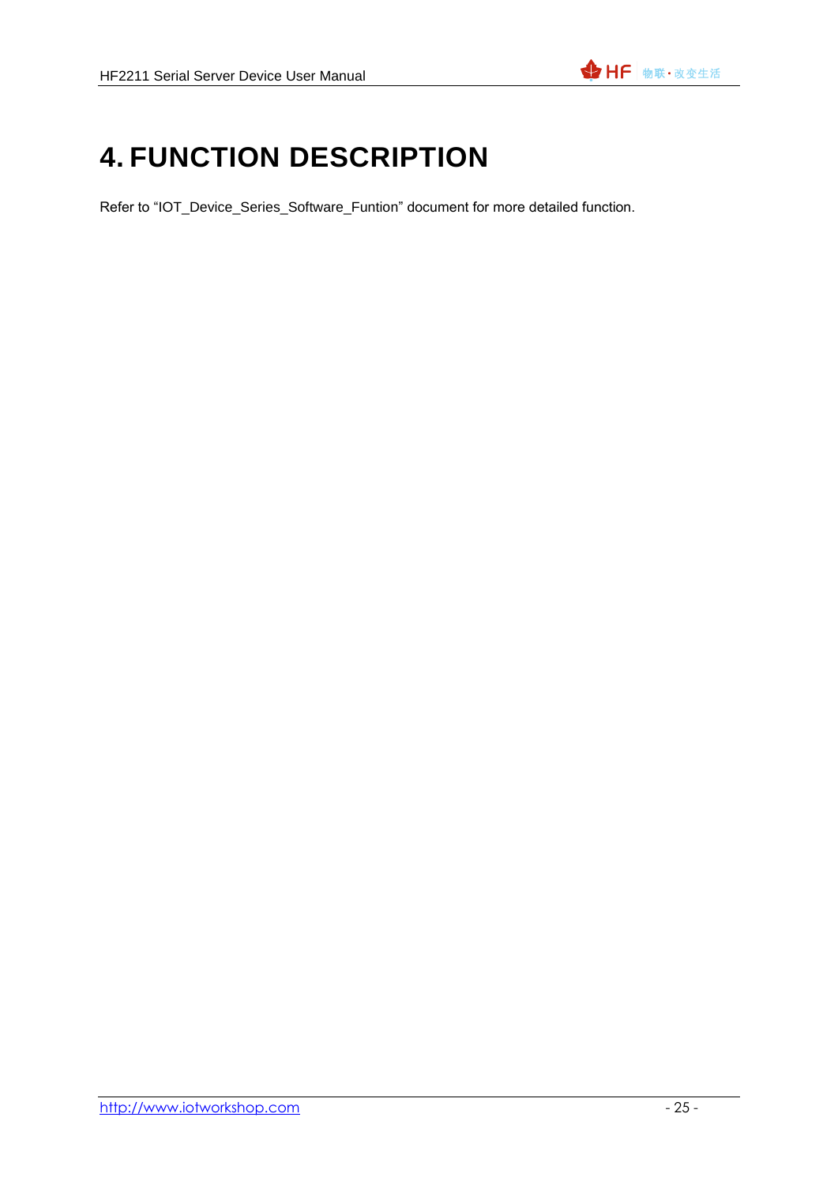## <span id="page-24-0"></span>**4. FUNCTION DESCRIPTION**

Refer to "IOT\_Device\_Series\_Software\_Funtion" document for more detailed function.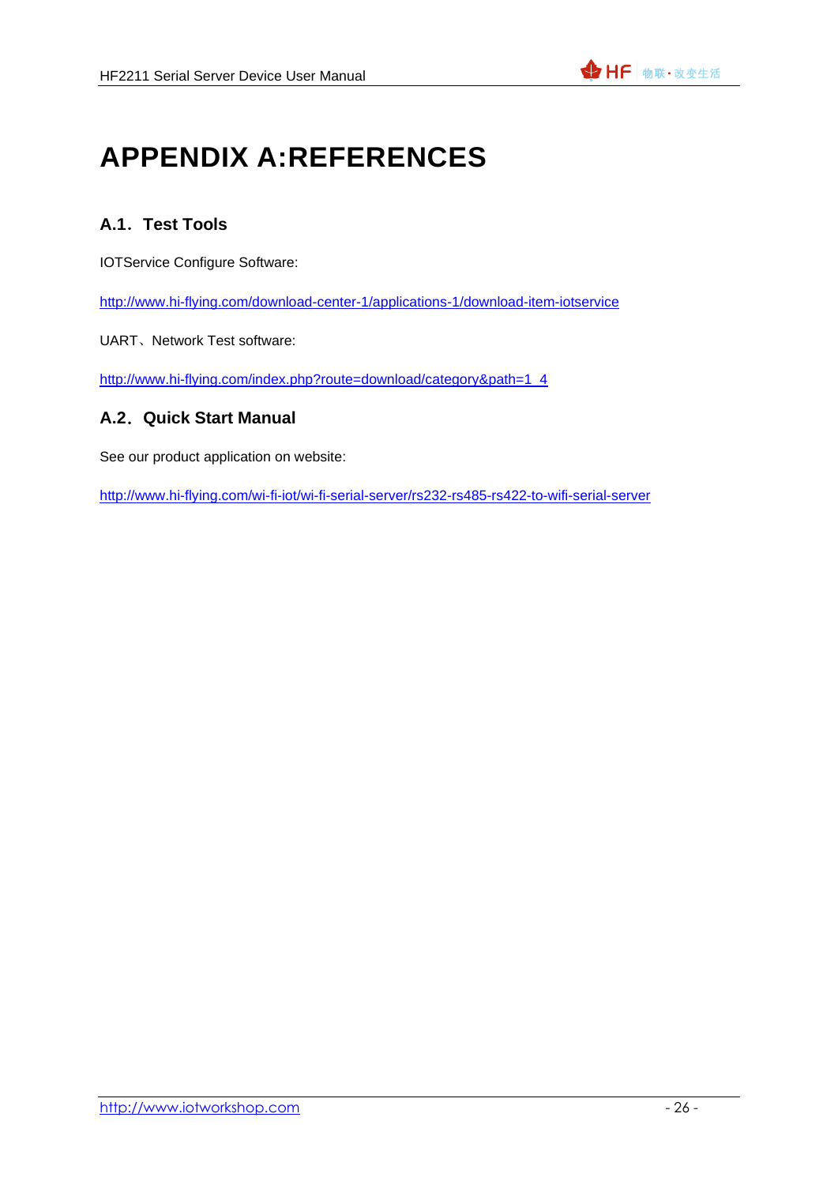# <span id="page-25-0"></span>**APPENDIX A:REFERENCES**

### <span id="page-25-1"></span>**A.1**.**Test Tools**

IOTService Configure Software:

<http://www.hi-flying.com/download-center-1/applications-1/download-item-iotservice>

UART、Network Test software:

[http://www.hi-flying.com/index.php?route=download/category&path=1\\_4](http://www.hi-flying.com/index.php?route=download/category&path=1_4)

#### <span id="page-25-2"></span>**A.2**.**Quick Start Manual**

See our product application on website:

http://www.hi-flying.com/wi-fi-iot/wi-fi-serial-server/rs232-rs485-rs422-to-wifi-serial-server